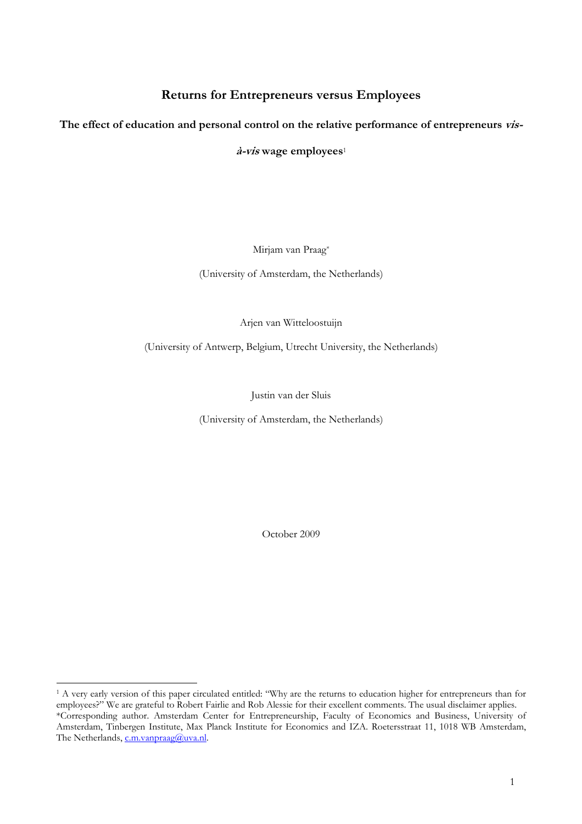# **Returns for Entrepreneurs versus Employees**

# **The effect of education and personal control on the relative performance of entrepreneurs vis-**

**à-vis wage employees**<sup>1</sup>

Mirjam van Praag\*

(University of Amsterdam, the Netherlands)

Arjen van Witteloostuijn

(University of Antwerp, Belgium, Utrecht University, the Netherlands)

Justin van der Sluis

(University of Amsterdam, the Netherlands)

October 2009

<sup>1</sup> A very early version of this paper circulated entitled: "Why are the returns to education higher for entrepreneurs than for employees?" We are grateful to Robert Fairlie and Rob Alessie for their excellent comments. The usual disclaimer applies. \*Corresponding author. Amsterdam Center for Entrepreneurship, Faculty of Economics and Business, University of Amsterdam, Tinbergen Institute, Max Planck Institute for Economics and IZA. Roetersstraat 11, 1018 WB Amsterdam, The Netherlands, c.m.vanpraag@uva.nl.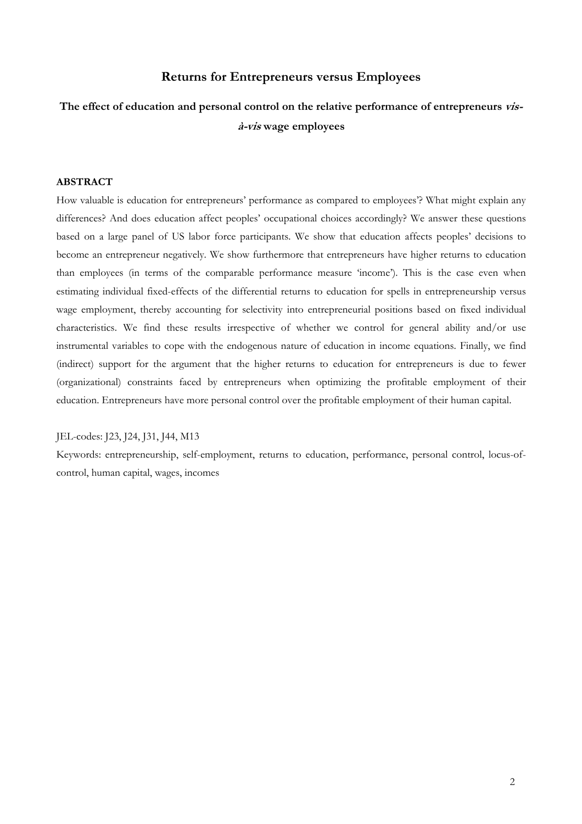# **Returns for Entrepreneurs versus Employees**

# **The effect of education and personal control on the relative performance of entrepreneurs visà-vis wage employees**

# **ABSTRACT**

How valuable is education for entrepreneurs' performance as compared to employees'? What might explain any differences? And does education affect peoples' occupational choices accordingly? We answer these questions based on a large panel of US labor force participants. We show that education affects peoples' decisions to become an entrepreneur negatively. We show furthermore that entrepreneurs have higher returns to education than employees (in terms of the comparable performance measure 'income'). This is the case even when estimating individual fixed-effects of the differential returns to education for spells in entrepreneurship versus wage employment, thereby accounting for selectivity into entrepreneurial positions based on fixed individual characteristics. We find these results irrespective of whether we control for general ability and/or use instrumental variables to cope with the endogenous nature of education in income equations. Finally, we find (indirect) support for the argument that the higher returns to education for entrepreneurs is due to fewer (organizational) constraints faced by entrepreneurs when optimizing the profitable employment of their education. Entrepreneurs have more personal control over the profitable employment of their human capital.

# JEL-codes: J23, J24, J31, J44, M13

Keywords: entrepreneurship, self-employment, returns to education, performance, personal control, locus-ofcontrol, human capital, wages, incomes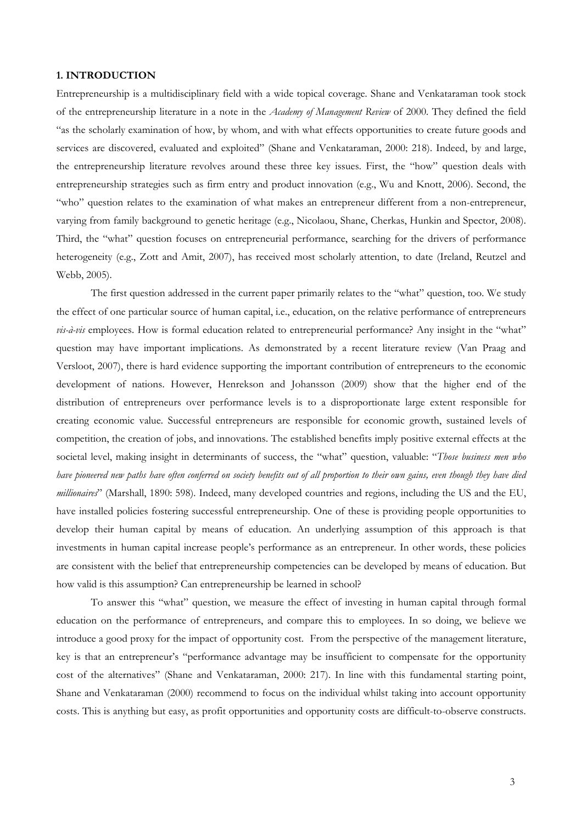#### **1. INTRODUCTION**

Entrepreneurship is a multidisciplinary field with a wide topical coverage. Shane and Venkataraman took stock of the entrepreneurship literature in a note in the *Academy of Management Review* of 2000. They defined the field "as the scholarly examination of how, by whom, and with what effects opportunities to create future goods and services are discovered, evaluated and exploited" (Shane and Venkataraman, 2000: 218). Indeed, by and large, the entrepreneurship literature revolves around these three key issues. First, the "how" question deals with entrepreneurship strategies such as firm entry and product innovation (e.g., Wu and Knott, 2006). Second, the "who" question relates to the examination of what makes an entrepreneur different from a non-entrepreneur, varying from family background to genetic heritage (e.g., Nicolaou, Shane, Cherkas, Hunkin and Spector, 2008). Third, the "what" question focuses on entrepreneurial performance, searching for the drivers of performance heterogeneity (e.g., Zott and Amit, 2007), has received most scholarly attention, to date (Ireland, Reutzel and Webb, 2005).

 The first question addressed in the current paper primarily relates to the "what" question, too. We study the effect of one particular source of human capital, i.e., education, on the relative performance of entrepreneurs *vis-à-vis* employees. How is formal education related to entrepreneurial performance? Any insight in the "what" question may have important implications. As demonstrated by a recent literature review (Van Praag and Versloot, 2007), there is hard evidence supporting the important contribution of entrepreneurs to the economic development of nations. However, Henrekson and Johansson (2009) show that the higher end of the distribution of entrepreneurs over performance levels is to a disproportionate large extent responsible for creating economic value. Successful entrepreneurs are responsible for economic growth, sustained levels of competition, the creation of jobs, and innovations. The established benefits imply positive external effects at the societal level, making insight in determinants of success, the "what" question, valuable: "*Those business men who have pioneered new paths have often conferred on society benefits out of all proportion to their own gains, even though they have died millionaires*" (Marshall, 1890: 598). Indeed, many developed countries and regions, including the US and the EU, have installed policies fostering successful entrepreneurship. One of these is providing people opportunities to develop their human capital by means of education. An underlying assumption of this approach is that investments in human capital increase people's performance as an entrepreneur. In other words, these policies are consistent with the belief that entrepreneurship competencies can be developed by means of education. But how valid is this assumption? Can entrepreneurship be learned in school?

 To answer this "what" question, we measure the effect of investing in human capital through formal education on the performance of entrepreneurs, and compare this to employees. In so doing, we believe we introduce a good proxy for the impact of opportunity cost. From the perspective of the management literature, key is that an entrepreneur's "performance advantage may be insufficient to compensate for the opportunity cost of the alternatives" (Shane and Venkataraman, 2000: 217). In line with this fundamental starting point, Shane and Venkataraman (2000) recommend to focus on the individual whilst taking into account opportunity costs. This is anything but easy, as profit opportunities and opportunity costs are difficult-to-observe constructs.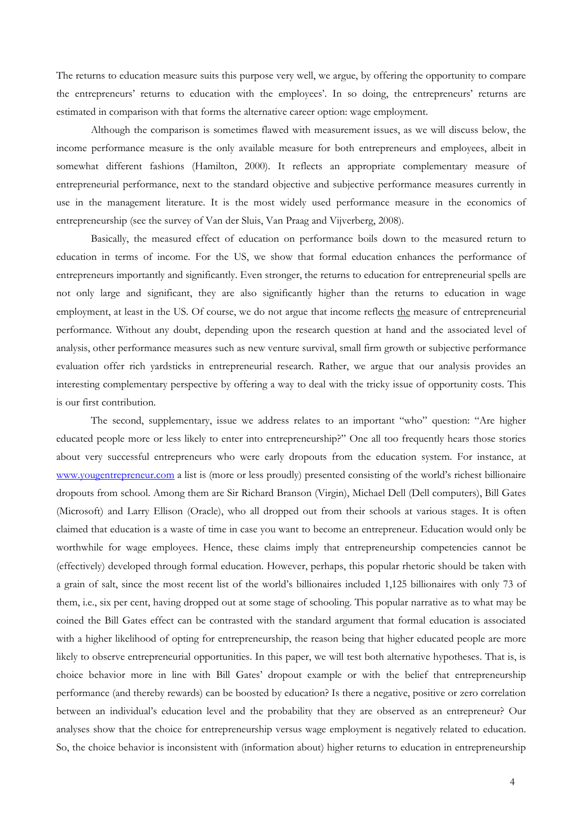The returns to education measure suits this purpose very well, we argue, by offering the opportunity to compare the entrepreneurs' returns to education with the employees'. In so doing, the entrepreneurs' returns are estimated in comparison with that forms the alternative career option: wage employment.

Although the comparison is sometimes flawed with measurement issues, as we will discuss below, the income performance measure is the only available measure for both entrepreneurs and employees, albeit in somewhat different fashions (Hamilton, 2000). It reflects an appropriate complementary measure of entrepreneurial performance, next to the standard objective and subjective performance measures currently in use in the management literature. It is the most widely used performance measure in the economics of entrepreneurship (see the survey of Van der Sluis, Van Praag and Vijverberg, 2008).

Basically, the measured effect of education on performance boils down to the measured return to education in terms of income. For the US, we show that formal education enhances the performance of entrepreneurs importantly and significantly. Even stronger, the returns to education for entrepreneurial spells are not only large and significant, they are also significantly higher than the returns to education in wage employment, at least in the US. Of course, we do not argue that income reflects the measure of entrepreneurial performance. Without any doubt, depending upon the research question at hand and the associated level of analysis, other performance measures such as new venture survival, small firm growth or subjective performance evaluation offer rich yardsticks in entrepreneurial research. Rather, we argue that our analysis provides an interesting complementary perspective by offering a way to deal with the tricky issue of opportunity costs. This is our first contribution.

 The second, supplementary, issue we address relates to an important "who" question: "Are higher educated people more or less likely to enter into entrepreneurship?" One all too frequently hears those stories about very successful entrepreneurs who were early dropouts from the education system. For instance, at www.yougentrepreneur.com a list is (more or less proudly) presented consisting of the world's richest billionaire dropouts from school. Among them are Sir Richard Branson (Virgin), Michael Dell (Dell computers), Bill Gates (Microsoft) and Larry Ellison (Oracle), who all dropped out from their schools at various stages. It is often claimed that education is a waste of time in case you want to become an entrepreneur. Education would only be worthwhile for wage employees. Hence, these claims imply that entrepreneurship competencies cannot be (effectively) developed through formal education. However, perhaps, this popular rhetoric should be taken with a grain of salt, since the most recent list of the world's billionaires included 1,125 billionaires with only 73 of them, i.e., six per cent, having dropped out at some stage of schooling. This popular narrative as to what may be coined the Bill Gates effect can be contrasted with the standard argument that formal education is associated with a higher likelihood of opting for entrepreneurship, the reason being that higher educated people are more likely to observe entrepreneurial opportunities. In this paper, we will test both alternative hypotheses. That is, is choice behavior more in line with Bill Gates' dropout example or with the belief that entrepreneurship performance (and thereby rewards) can be boosted by education? Is there a negative, positive or zero correlation between an individual's education level and the probability that they are observed as an entrepreneur? Our analyses show that the choice for entrepreneurship versus wage employment is negatively related to education. So, the choice behavior is inconsistent with (information about) higher returns to education in entrepreneurship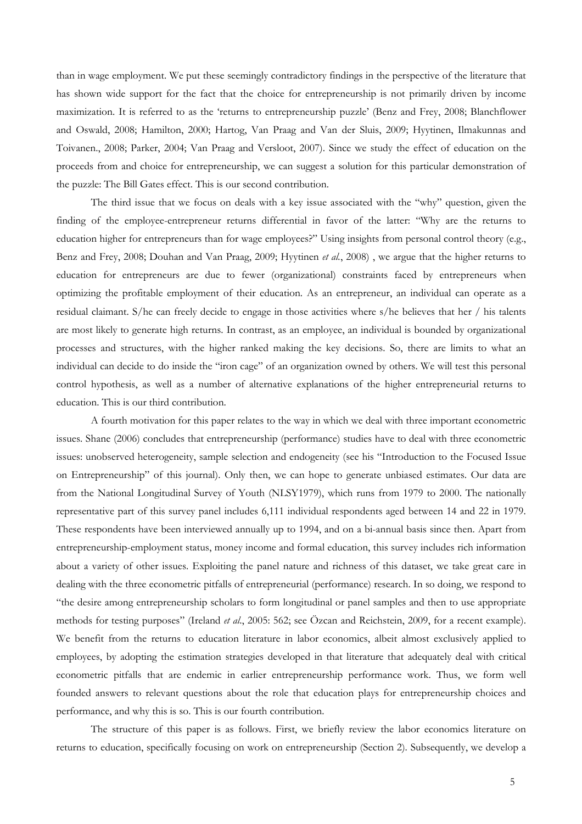than in wage employment. We put these seemingly contradictory findings in the perspective of the literature that has shown wide support for the fact that the choice for entrepreneurship is not primarily driven by income maximization. It is referred to as the 'returns to entrepreneurship puzzle' (Benz and Frey, 2008; Blanchflower and Oswald, 2008; Hamilton, 2000; Hartog, Van Praag and Van der Sluis, 2009; Hyytinen, Ilmakunnas and Toivanen., 2008; Parker, 2004; Van Praag and Versloot, 2007). Since we study the effect of education on the proceeds from and choice for entrepreneurship, we can suggest a solution for this particular demonstration of the puzzle: The Bill Gates effect. This is our second contribution.

 The third issue that we focus on deals with a key issue associated with the "why" question, given the finding of the employee-entrepreneur returns differential in favor of the latter: "Why are the returns to education higher for entrepreneurs than for wage employees?" Using insights from personal control theory (e.g., Benz and Frey, 2008; Douhan and Van Praag, 2009; Hyytinen *et al.*, 2008) , we argue that the higher returns to education for entrepreneurs are due to fewer (organizational) constraints faced by entrepreneurs when optimizing the profitable employment of their education. As an entrepreneur, an individual can operate as a residual claimant. S/he can freely decide to engage in those activities where s/he believes that her / his talents are most likely to generate high returns. In contrast, as an employee, an individual is bounded by organizational processes and structures, with the higher ranked making the key decisions. So, there are limits to what an individual can decide to do inside the "iron cage" of an organization owned by others. We will test this personal control hypothesis, as well as a number of alternative explanations of the higher entrepreneurial returns to education. This is our third contribution.

A fourth motivation for this paper relates to the way in which we deal with three important econometric issues. Shane (2006) concludes that entrepreneurship (performance) studies have to deal with three econometric issues: unobserved heterogeneity, sample selection and endogeneity (see his "Introduction to the Focused Issue on Entrepreneurship" of this journal). Only then, we can hope to generate unbiased estimates. Our data are from the National Longitudinal Survey of Youth (NLSY1979), which runs from 1979 to 2000. The nationally representative part of this survey panel includes 6,111 individual respondents aged between 14 and 22 in 1979. These respondents have been interviewed annually up to 1994, and on a bi-annual basis since then. Apart from entrepreneurship-employment status, money income and formal education, this survey includes rich information about a variety of other issues. Exploiting the panel nature and richness of this dataset, we take great care in dealing with the three econometric pitfalls of entrepreneurial (performance) research. In so doing, we respond to "the desire among entrepreneurship scholars to form longitudinal or panel samples and then to use appropriate methods for testing purposes" (Ireland *et al*., 2005: 562; see Özcan and Reichstein, 2009, for a recent example). We benefit from the returns to education literature in labor economics, albeit almost exclusively applied to employees, by adopting the estimation strategies developed in that literature that adequately deal with critical econometric pitfalls that are endemic in earlier entrepreneurship performance work. Thus, we form well founded answers to relevant questions about the role that education plays for entrepreneurship choices and performance, and why this is so. This is our fourth contribution.

The structure of this paper is as follows. First, we briefly review the labor economics literature on returns to education, specifically focusing on work on entrepreneurship (Section 2). Subsequently, we develop a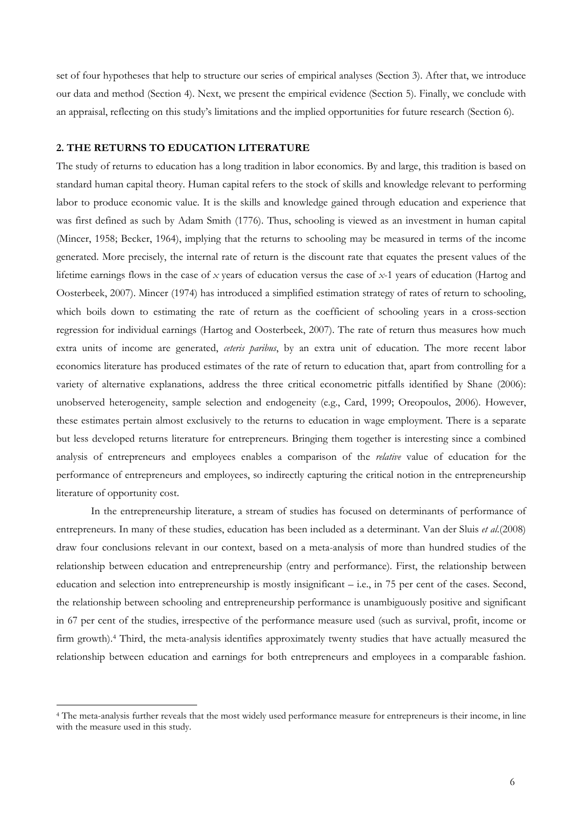set of four hypotheses that help to structure our series of empirical analyses (Section 3). After that, we introduce our data and method (Section 4). Next, we present the empirical evidence (Section 5). Finally, we conclude with an appraisal, reflecting on this study's limitations and the implied opportunities for future research (Section 6).

#### **2. THE RETURNS TO EDUCATION LITERATURE**

 $\overline{a}$ 

The study of returns to education has a long tradition in labor economics. By and large, this tradition is based on standard human capital theory. Human capital refers to the stock of skills and knowledge relevant to performing labor to produce economic value. It is the skills and knowledge gained through education and experience that was first defined as such by Adam Smith (1776). Thus, schooling is viewed as an investment in human capital (Mincer, 1958; Becker, 1964), implying that the returns to schooling may be measured in terms of the income generated. More precisely, the internal rate of return is the discount rate that equates the present values of the lifetime earnings flows in the case of *x* years of education versus the case of *x*-1 years of education (Hartog and Oosterbeek, 2007). Mincer (1974) has introduced a simplified estimation strategy of rates of return to schooling, which boils down to estimating the rate of return as the coefficient of schooling years in a cross-section regression for individual earnings (Hartog and Oosterbeek, 2007). The rate of return thus measures how much extra units of income are generated, *ceteris paribus*, by an extra unit of education. The more recent labor economics literature has produced estimates of the rate of return to education that, apart from controlling for a variety of alternative explanations, address the three critical econometric pitfalls identified by Shane (2006): unobserved heterogeneity, sample selection and endogeneity (e.g., Card, 1999; Oreopoulos, 2006). However, these estimates pertain almost exclusively to the returns to education in wage employment. There is a separate but less developed returns literature for entrepreneurs. Bringing them together is interesting since a combined analysis of entrepreneurs and employees enables a comparison of the *relative* value of education for the performance of entrepreneurs and employees, so indirectly capturing the critical notion in the entrepreneurship literature of opportunity cost.

 In the entrepreneurship literature, a stream of studies has focused on determinants of performance of entrepreneurs. In many of these studies, education has been included as a determinant. Van der Sluis *et al*.(2008) draw four conclusions relevant in our context, based on a meta-analysis of more than hundred studies of the relationship between education and entrepreneurship (entry and performance). First, the relationship between education and selection into entrepreneurship is mostly insignificant – i.e., in 75 per cent of the cases. Second, the relationship between schooling and entrepreneurship performance is unambiguously positive and significant in 67 per cent of the studies, irrespective of the performance measure used (such as survival, profit, income or firm growth).4 Third, the meta-analysis identifies approximately twenty studies that have actually measured the relationship between education and earnings for both entrepreneurs and employees in a comparable fashion.

<sup>4</sup> The meta-analysis further reveals that the most widely used performance measure for entrepreneurs is their income, in line with the measure used in this study.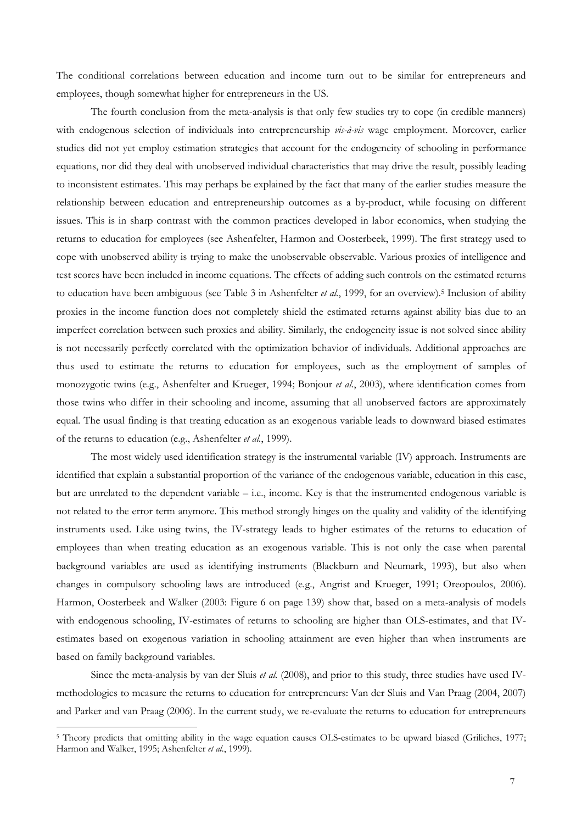The conditional correlations between education and income turn out to be similar for entrepreneurs and employees, though somewhat higher for entrepreneurs in the US.

 The fourth conclusion from the meta-analysis is that only few studies try to cope (in credible manners) with endogenous selection of individuals into entrepreneurship *vis-à-vis* wage employment. Moreover, earlier studies did not yet employ estimation strategies that account for the endogeneity of schooling in performance equations, nor did they deal with unobserved individual characteristics that may drive the result, possibly leading to inconsistent estimates. This may perhaps be explained by the fact that many of the earlier studies measure the relationship between education and entrepreneurship outcomes as a by-product, while focusing on different issues. This is in sharp contrast with the common practices developed in labor economics, when studying the returns to education for employees (see Ashenfelter, Harmon and Oosterbeek, 1999). The first strategy used to cope with unobserved ability is trying to make the unobservable observable. Various proxies of intelligence and test scores have been included in income equations. The effects of adding such controls on the estimated returns to education have been ambiguous (see Table 3 in Ashenfelter *et al.*, 1999, for an overview).5 Inclusion of ability proxies in the income function does not completely shield the estimated returns against ability bias due to an imperfect correlation between such proxies and ability. Similarly, the endogeneity issue is not solved since ability is not necessarily perfectly correlated with the optimization behavior of individuals. Additional approaches are thus used to estimate the returns to education for employees, such as the employment of samples of monozygotic twins (e.g., Ashenfelter and Krueger, 1994; Bonjour *et al.*, 2003), where identification comes from those twins who differ in their schooling and income, assuming that all unobserved factors are approximately equal. The usual finding is that treating education as an exogenous variable leads to downward biased estimates of the returns to education (e.g., Ashenfelter *et al.*, 1999).

 The most widely used identification strategy is the instrumental variable (IV) approach. Instruments are identified that explain a substantial proportion of the variance of the endogenous variable, education in this case, but are unrelated to the dependent variable – i.e., income. Key is that the instrumented endogenous variable is not related to the error term anymore. This method strongly hinges on the quality and validity of the identifying instruments used. Like using twins, the IV-strategy leads to higher estimates of the returns to education of employees than when treating education as an exogenous variable. This is not only the case when parental background variables are used as identifying instruments (Blackburn and Neumark, 1993), but also when changes in compulsory schooling laws are introduced (e.g., Angrist and Krueger, 1991; Oreopoulos, 2006). Harmon, Oosterbeek and Walker (2003: Figure 6 on page 139) show that, based on a meta-analysis of models with endogenous schooling, IV-estimates of returns to schooling are higher than OLS-estimates, and that IVestimates based on exogenous variation in schooling attainment are even higher than when instruments are based on family background variables.

 Since the meta-analysis by van der Sluis *et al.* (2008), and prior to this study, three studies have used IVmethodologies to measure the returns to education for entrepreneurs: Van der Sluis and Van Praag (2004, 2007) and Parker and van Praag (2006). In the current study, we re-evaluate the returns to education for entrepreneurs

<sup>&</sup>lt;sup>5</sup> Theory predicts that omitting ability in the wage equation causes OLS-estimates to be upward biased (Griliches, 1977; Harmon and Walker, 1995; Ashenfelter *et al*., 1999).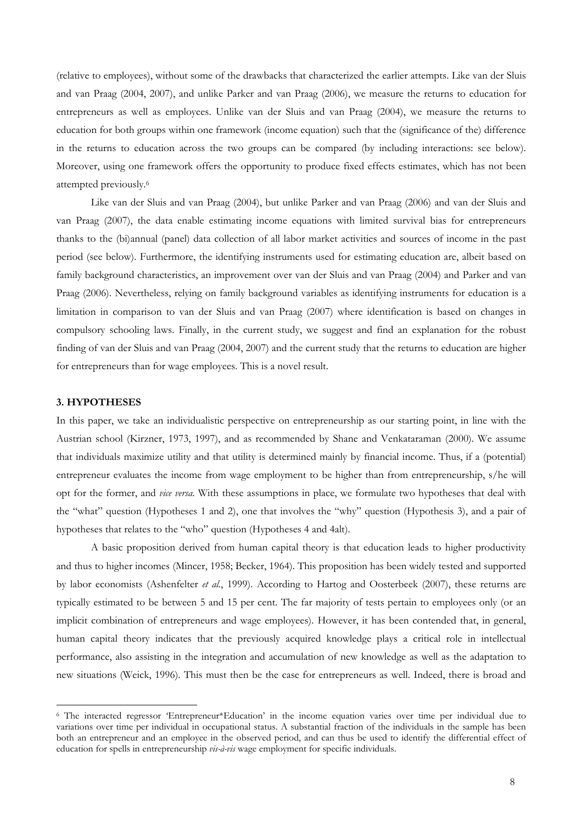(relative to employees), without some of the drawbacks that characterized the earlier attempts. Like van der Sluis and van Praag (2004, 2007), and unlike Parker and van Praag (2006), we measure the returns to education for entrepreneurs as well as employees. Unlike van der Sluis and van Praag (2004), we measure the returns to education for both groups within one framework (income equation) such that the (significance of the) difference in the returns to education across the two groups can be compared (by including interactions: see below). Moreover, using one framework offers the opportunity to produce fixed effects estimates, which has not been attempted previously.6

Like van der Sluis and van Praag (2004), but unlike Parker and van Praag (2006) and van der Sluis and van Praag (2007), the data enable estimating income equations with limited survival bias for entrepreneurs thanks to the (bi)annual (panel) data collection of all labor market activities and sources of income in the past period (see below). Furthermore, the identifying instruments used for estimating education are, albeit based on family background characteristics, an improvement over van der Sluis and van Praag (2004) and Parker and van Praag (2006). Nevertheless, relying on family background variables as identifying instruments for education is a limitation in comparison to van der Sluis and van Praag (2007) where identification is based on changes in compulsory schooling laws. Finally, in the current study, we suggest and find an explanation for the robust finding of van der Sluis and van Praag (2004, 2007) and the current study that the returns to education are higher for entrepreneurs than for wage employees. This is a novel result.

# **3. HYPOTHESES**

 $\overline{a}$ 

In this paper, we take an individualistic perspective on entrepreneurship as our starting point, in line with the Austrian school (Kirzner, 1973, 1997), and as recommended by Shane and Venkataraman (2000). We assume that individuals maximize utility and that utility is determined mainly by financial income. Thus, if a (potential) entrepreneur evaluates the income from wage employment to be higher than from entrepreneurship, s/he will opt for the former, and *vice versa*. With these assumptions in place, we formulate two hypotheses that deal with the "what" question (Hypotheses 1 and 2), one that involves the "why" question (Hypothesis 3), and a pair of hypotheses that relates to the "who" question (Hypotheses 4 and 4alt).

A basic proposition derived from human capital theory is that education leads to higher productivity and thus to higher incomes (Mincer, 1958; Becker, 1964). This proposition has been widely tested and supported by labor economists (Ashenfelter *et al.*, 1999). According to Hartog and Oosterbeek (2007), these returns are typically estimated to be between 5 and 15 per cent. The far majority of tests pertain to employees only (or an implicit combination of entrepreneurs and wage employees). However, it has been contended that, in general, human capital theory indicates that the previously acquired knowledge plays a critical role in intellectual performance, also assisting in the integration and accumulation of new knowledge as well as the adaptation to new situations (Weick, 1996). This must then be the case for entrepreneurs as well. Indeed, there is broad and

<sup>6</sup> The interacted regressor 'Entrepreneur\*Education' in the income equation varies over time per individual due to variations over time per individual in occupational status. A substantial fraction of the individuals in the sample has been both an entrepreneur and an employee in the observed period, and can thus be used to identify the differential effect of education for spells in entrepreneurship *vis-à-vis* wage employment for specific individuals.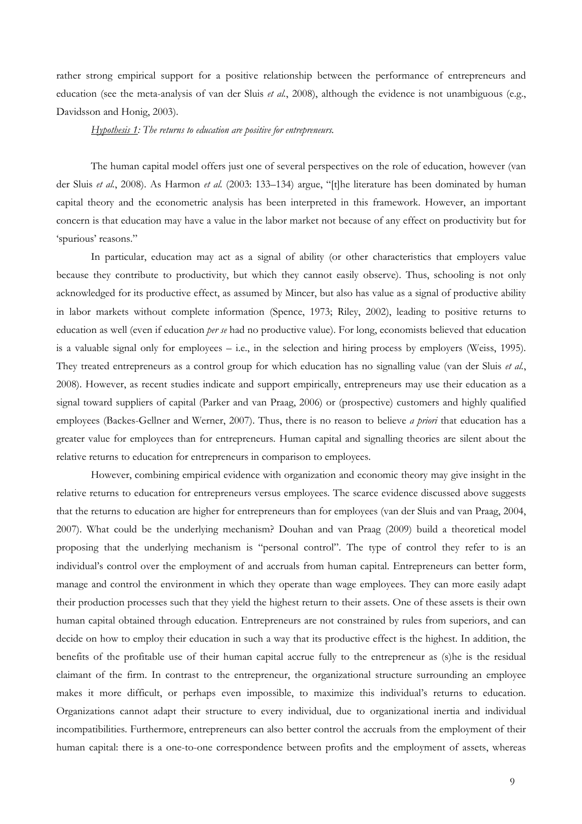rather strong empirical support for a positive relationship between the performance of entrepreneurs and education (see the meta-analysis of van der Sluis *et al.*, 2008), although the evidence is not unambiguous (e.g., Davidsson and Honig, 2003).

*Hypothesis 1: The returns to education are positive for entrepreneurs.* 

The human capital model offers just one of several perspectives on the role of education, however (van der Sluis *et al.*, 2008). As Harmon *et al.* (2003: 133–134) argue, "[t]he literature has been dominated by human capital theory and the econometric analysis has been interpreted in this framework. However, an important concern is that education may have a value in the labor market not because of any effect on productivity but for 'spurious' reasons."

In particular, education may act as a signal of ability (or other characteristics that employers value because they contribute to productivity, but which they cannot easily observe). Thus, schooling is not only acknowledged for its productive effect, as assumed by Mincer, but also has value as a signal of productive ability in labor markets without complete information (Spence, 1973; Riley, 2002), leading to positive returns to education as well (even if education *per se* had no productive value). For long, economists believed that education is a valuable signal only for employees – i.e., in the selection and hiring process by employers (Weiss, 1995). They treated entrepreneurs as a control group for which education has no signalling value (van der Sluis *et al.*, 2008). However, as recent studies indicate and support empirically, entrepreneurs may use their education as a signal toward suppliers of capital (Parker and van Praag, 2006) or (prospective) customers and highly qualified employees (Backes-Gellner and Werner, 2007). Thus, there is no reason to believe *a priori* that education has a greater value for employees than for entrepreneurs. Human capital and signalling theories are silent about the relative returns to education for entrepreneurs in comparison to employees.

 However, combining empirical evidence with organization and economic theory may give insight in the relative returns to education for entrepreneurs versus employees. The scarce evidence discussed above suggests that the returns to education are higher for entrepreneurs than for employees (van der Sluis and van Praag, 2004, 2007). What could be the underlying mechanism? Douhan and van Praag (2009) build a theoretical model proposing that the underlying mechanism is "personal control". The type of control they refer to is an individual's control over the employment of and accruals from human capital. Entrepreneurs can better form, manage and control the environment in which they operate than wage employees. They can more easily adapt their production processes such that they yield the highest return to their assets. One of these assets is their own human capital obtained through education. Entrepreneurs are not constrained by rules from superiors, and can decide on how to employ their education in such a way that its productive effect is the highest. In addition, the benefits of the profitable use of their human capital accrue fully to the entrepreneur as (s)he is the residual claimant of the firm. In contrast to the entrepreneur, the organizational structure surrounding an employee makes it more difficult, or perhaps even impossible, to maximize this individual's returns to education. Organizations cannot adapt their structure to every individual, due to organizational inertia and individual incompatibilities. Furthermore, entrepreneurs can also better control the accruals from the employment of their human capital: there is a one-to-one correspondence between profits and the employment of assets, whereas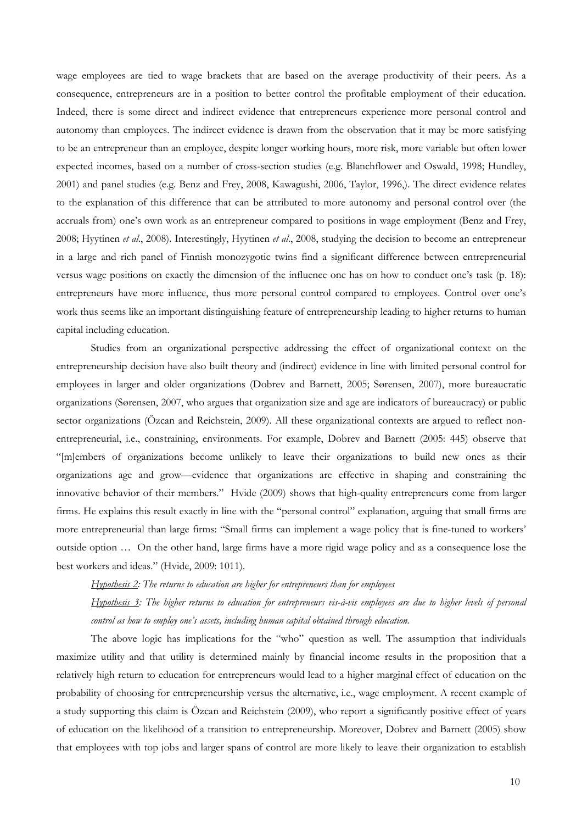wage employees are tied to wage brackets that are based on the average productivity of their peers. As a consequence, entrepreneurs are in a position to better control the profitable employment of their education. Indeed, there is some direct and indirect evidence that entrepreneurs experience more personal control and autonomy than employees. The indirect evidence is drawn from the observation that it may be more satisfying to be an entrepreneur than an employee, despite longer working hours, more risk, more variable but often lower expected incomes, based on a number of cross-section studies (e.g. Blanchflower and Oswald, 1998; Hundley, 2001) and panel studies (e.g. Benz and Frey, 2008, Kawagushi, 2006, Taylor, 1996,). The direct evidence relates to the explanation of this difference that can be attributed to more autonomy and personal control over (the accruals from) one's own work as an entrepreneur compared to positions in wage employment (Benz and Frey, 2008; Hyytinen *et al*., 2008). Interestingly, Hyytinen *et al*., 2008, studying the decision to become an entrepreneur in a large and rich panel of Finnish monozygotic twins find a significant difference between entrepreneurial versus wage positions on exactly the dimension of the influence one has on how to conduct one's task (p. 18): entrepreneurs have more influence, thus more personal control compared to employees. Control over one's work thus seems like an important distinguishing feature of entrepreneurship leading to higher returns to human capital including education.

 Studies from an organizational perspective addressing the effect of organizational context on the entrepreneurship decision have also built theory and (indirect) evidence in line with limited personal control for employees in larger and older organizations (Dobrev and Barnett, 2005; Sørensen, 2007), more bureaucratic organizations (Sørensen, 2007, who argues that organization size and age are indicators of bureaucracy) or public sector organizations (Özcan and Reichstein, 2009). All these organizational contexts are argued to reflect nonentrepreneurial, i.e., constraining, environments. For example, Dobrev and Barnett (2005: 445) observe that "[m]embers of organizations become unlikely to leave their organizations to build new ones as their organizations age and grow—evidence that organizations are effective in shaping and constraining the innovative behavior of their members." Hvide (2009) shows that high-quality entrepreneurs come from larger firms. He explains this result exactly in line with the "personal control" explanation, arguing that small firms are more entrepreneurial than large firms: "Small firms can implement a wage policy that is fine-tuned to workers' outside option … On the other hand, large firms have a more rigid wage policy and as a consequence lose the best workers and ideas." (Hvide, 2009: 1011).

*Hypothesis 2: The returns to education are higher for entrepreneurs than for employees* 

*Hypothesis 3: The higher returns to education for entrepreneurs vis-à-vis employees are due to higher levels of personal control as how to employ one's assets, including human capital obtained through education.* 

The above logic has implications for the "who" question as well. The assumption that individuals maximize utility and that utility is determined mainly by financial income results in the proposition that a relatively high return to education for entrepreneurs would lead to a higher marginal effect of education on the probability of choosing for entrepreneurship versus the alternative, i.e., wage employment. A recent example of a study supporting this claim is Özcan and Reichstein (2009), who report a significantly positive effect of years of education on the likelihood of a transition to entrepreneurship. Moreover, Dobrev and Barnett (2005) show that employees with top jobs and larger spans of control are more likely to leave their organization to establish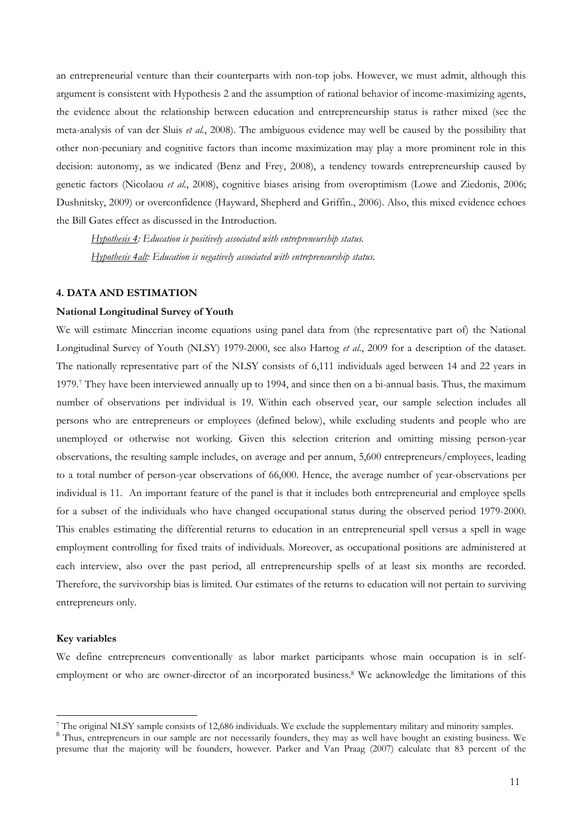an entrepreneurial venture than their counterparts with non-top jobs. However, we must admit, although this argument is consistent with Hypothesis 2 and the assumption of rational behavior of income-maximizing agents, the evidence about the relationship between education and entrepreneurship status is rather mixed (see the meta-analysis of van der Sluis *et al.*, 2008). The ambiguous evidence may well be caused by the possibility that other non-pecuniary and cognitive factors than income maximization may play a more prominent role in this decision: autonomy, as we indicated (Benz and Frey, 2008), a tendency towards entrepreneurship caused by genetic factors (Nicolaou *et al.*, 2008), cognitive biases arising from overoptimism (Lowe and Ziedonis, 2006; Dushnitsky, 2009) or overconfidence (Hayward, Shepherd and Griffin., 2006). Also, this mixed evidence echoes the Bill Gates effect as discussed in the Introduction.

*Hypothesis 4: Education is positively associated with entrepreneurship status. Hypothesis 4alt: Education is negatively associated with entrepreneurship status.* 

#### **4. DATA AND ESTIMATION**

#### **National Longitudinal Survey of Youth**

We will estimate Mincerian income equations using panel data from (the representative part of) the National Longitudinal Survey of Youth (NLSY) 1979-2000, see also Hartog *et al*., 2009 for a description of the dataset. The nationally representative part of the NLSY consists of 6,111 individuals aged between 14 and 22 years in 1979.7 They have been interviewed annually up to 1994, and since then on a bi-annual basis. Thus, the maximum number of observations per individual is 19. Within each observed year, our sample selection includes all persons who are entrepreneurs or employees (defined below), while excluding students and people who are unemployed or otherwise not working. Given this selection criterion and omitting missing person-year observations, the resulting sample includes, on average and per annum, 5,600 entrepreneurs/employees, leading to a total number of person-year observations of 66,000. Hence, the average number of year-observations per individual is 11. An important feature of the panel is that it includes both entrepreneurial and employee spells for a subset of the individuals who have changed occupational status during the observed period 1979-2000. This enables estimating the differential returns to education in an entrepreneurial spell versus a spell in wage employment controlling for fixed traits of individuals. Moreover, as occupational positions are administered at each interview, also over the past period, all entrepreneurship spells of at least six months are recorded. Therefore, the survivorship bias is limited. Our estimates of the returns to education will not pertain to surviving entrepreneurs only.

#### **Key variables**

 $\overline{a}$ 

We define entrepreneurs conventionally as labor market participants whose main occupation is in selfemployment or who are owner-director of an incorporated business.8 We acknowledge the limitations of this

<sup>&</sup>lt;sup>7</sup> The original NLSY sample consists of 12,686 individuals. We exclude the supplementary military and minority samples.<br><sup>8</sup> Thus, entrepreneurs in our sample are not necessarily founders, they may as well have bought an e presume that the majority will be founders, however. Parker and Van Praag (2007) calculate that 83 percent of the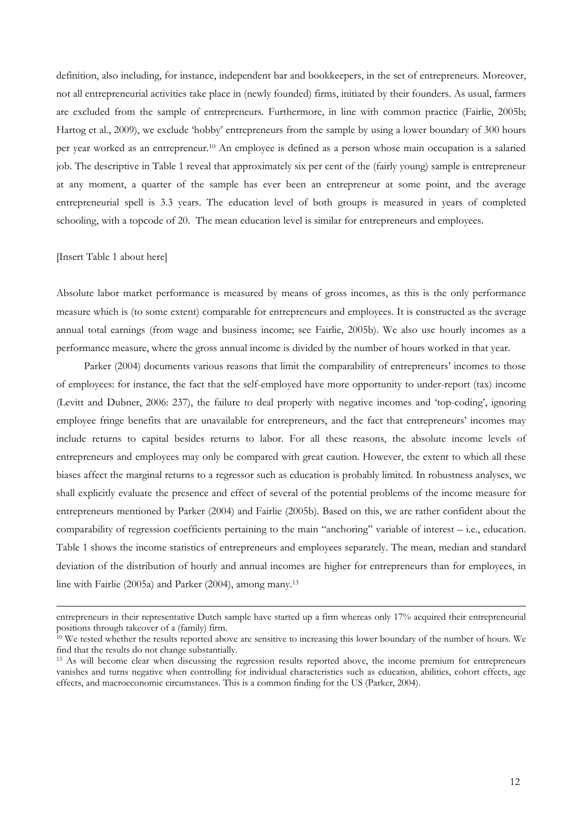definition, also including, for instance, independent bar and bookkeepers, in the set of entrepreneurs. Moreover, not all entrepreneurial activities take place in (newly founded) firms, initiated by their founders. As usual, farmers are excluded from the sample of entrepreneurs. Furthermore, in line with common practice (Fairlie, 2005b; Hartog et al., 2009), we exclude 'hobby' entrepreneurs from the sample by using a lower boundary of 300 hours per year worked as an entrepreneur.10 An employee is defined as a person whose main occupation is a salaried job. The descriptive in Table 1 reveal that approximately six per cent of the (fairly young) sample is entrepreneur at any moment, a quarter of the sample has ever been an entrepreneur at some point, and the average entrepreneurial spell is 3.3 years. The education level of both groups is measured in years of completed schooling, with a topcode of 20. The mean education level is similar for entrepreneurs and employees.

#### [Insert Table 1 about here]

 $\overline{a}$ 

Absolute labor market performance is measured by means of gross incomes, as this is the only performance measure which is (to some extent) comparable for entrepreneurs and employees. It is constructed as the average annual total earnings (from wage and business income; see Fairlie, 2005b). We also use hourly incomes as a performance measure, where the gross annual income is divided by the number of hours worked in that year.

 Parker (2004) documents various reasons that limit the comparability of entrepreneurs' incomes to those of employees: for instance, the fact that the self-employed have more opportunity to under-report (tax) income (Levitt and Dubner, 2006: 237), the failure to deal properly with negative incomes and 'top-coding', ignoring employee fringe benefits that are unavailable for entrepreneurs, and the fact that entrepreneurs' incomes may include returns to capital besides returns to labor. For all these reasons, the absolute income levels of entrepreneurs and employees may only be compared with great caution. However, the extent to which all these biases affect the marginal returns to a regressor such as education is probably limited. In robustness analyses, we shall explicitly evaluate the presence and effect of several of the potential problems of the income measure for entrepreneurs mentioned by Parker (2004) and Fairlie (2005b). Based on this, we are rather confident about the comparability of regression coefficients pertaining to the main "anchoring" variable of interest – i.e., education. Table 1 shows the income statistics of entrepreneurs and employees separately. The mean, median and standard deviation of the distribution of hourly and annual incomes are higher for entrepreneurs than for employees, in line with Fairlie (2005a) and Parker (2004), among many.13

entrepreneurs in their representative Dutch sample have started up a firm whereas only 17% acquired their entrepreneurial positions through takeover of a (family) firm.

<sup>&</sup>lt;sup>10</sup> We tested whether the results reported above are sensitive to increasing this lower boundary of the number of hours. We find that the results do not change substantially.

<sup>&</sup>lt;sup>13</sup> As will become clear when discussing the regression results reported above, the income premium for entrepreneurs vanishes and turns negative when controlling for individual characteristics such as education, abilities, cohort effects, age effects, and macroeconomic circumstances. This is a common finding for the US (Parker, 2004).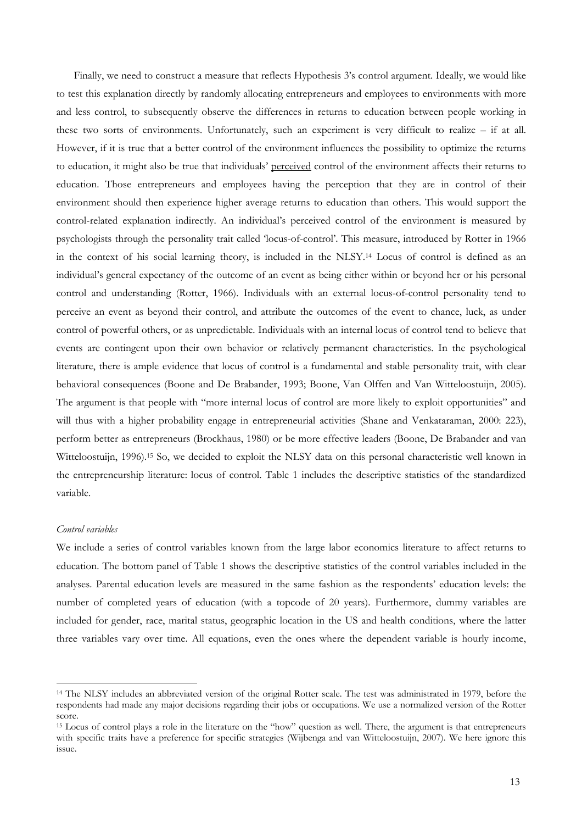Finally, we need to construct a measure that reflects Hypothesis 3's control argument. Ideally, we would like to test this explanation directly by randomly allocating entrepreneurs and employees to environments with more and less control, to subsequently observe the differences in returns to education between people working in these two sorts of environments. Unfortunately, such an experiment is very difficult to realize – if at all. However, if it is true that a better control of the environment influences the possibility to optimize the returns to education, it might also be true that individuals' perceived control of the environment affects their returns to education. Those entrepreneurs and employees having the perception that they are in control of their environment should then experience higher average returns to education than others. This would support the control-related explanation indirectly. An individual's perceived control of the environment is measured by psychologists through the personality trait called 'locus-of-control'. This measure, introduced by Rotter in 1966 in the context of his social learning theory, is included in the NLSY.14 Locus of control is defined as an individual's general expectancy of the outcome of an event as being either within or beyond her or his personal control and understanding (Rotter, 1966). Individuals with an external locus-of-control personality tend to perceive an event as beyond their control, and attribute the outcomes of the event to chance, luck, as under control of powerful others, or as unpredictable. Individuals with an internal locus of control tend to believe that events are contingent upon their own behavior or relatively permanent characteristics. In the psychological literature, there is ample evidence that locus of control is a fundamental and stable personality trait, with clear behavioral consequences (Boone and De Brabander, 1993; Boone, Van Olffen and Van Witteloostuijn, 2005). The argument is that people with "more internal locus of control are more likely to exploit opportunities" and will thus with a higher probability engage in entrepreneurial activities (Shane and Venkataraman, 2000: 223), perform better as entrepreneurs (Brockhaus, 1980) or be more effective leaders (Boone, De Brabander and van Witteloostuijn, 1996).<sup>15</sup> So, we decided to exploit the NLSY data on this personal characteristic well known in the entrepreneurship literature: locus of control. Table 1 includes the descriptive statistics of the standardized variable.

#### *Control variables*

 $\overline{a}$ 

We include a series of control variables known from the large labor economics literature to affect returns to education. The bottom panel of Table 1 shows the descriptive statistics of the control variables included in the analyses. Parental education levels are measured in the same fashion as the respondents' education levels: the number of completed years of education (with a topcode of 20 years). Furthermore, dummy variables are included for gender, race, marital status, geographic location in the US and health conditions, where the latter three variables vary over time. All equations, even the ones where the dependent variable is hourly income,

<sup>14</sup> The NLSY includes an abbreviated version of the original Rotter scale. The test was administrated in 1979, before the respondents had made any major decisions regarding their jobs or occupations. We use a normalized version of the Rotter score.

<sup>&</sup>lt;sup>15</sup> Locus of control plays a role in the literature on the "how" question as well. There, the argument is that entrepreneurs with specific traits have a preference for specific strategies (Wijbenga and van Witteloostuijn, 2007). We here ignore this issue.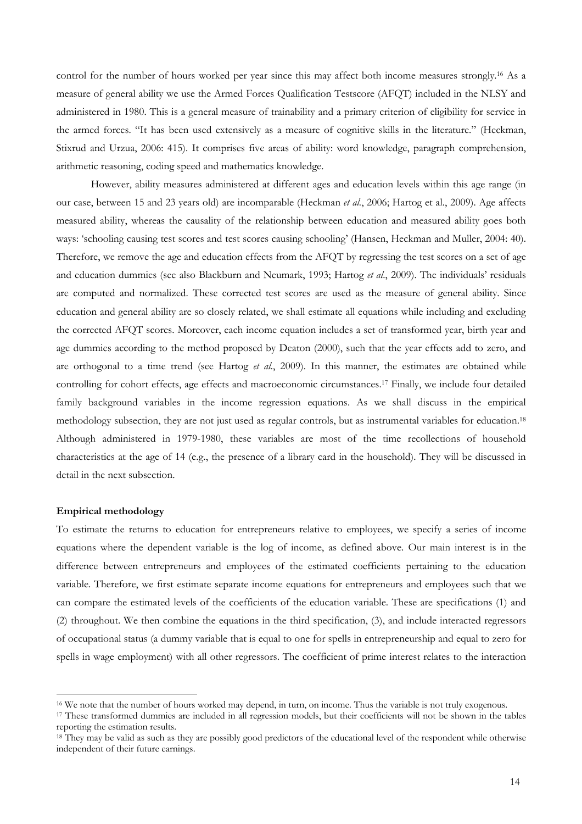control for the number of hours worked per year since this may affect both income measures strongly.<sup>16</sup> As a measure of general ability we use the Armed Forces Qualification Testscore (AFQT) included in the NLSY and administered in 1980. This is a general measure of trainability and a primary criterion of eligibility for service in the armed forces. "It has been used extensively as a measure of cognitive skills in the literature." (Heckman, Stixrud and Urzua, 2006: 415). It comprises five areas of ability: word knowledge, paragraph comprehension, arithmetic reasoning, coding speed and mathematics knowledge.

 However, ability measures administered at different ages and education levels within this age range (in our case, between 15 and 23 years old) are incomparable (Heckman *et al.*, 2006; Hartog et al., 2009). Age affects measured ability, whereas the causality of the relationship between education and measured ability goes both ways: 'schooling causing test scores and test scores causing schooling' (Hansen, Heckman and Muller, 2004: 40). Therefore, we remove the age and education effects from the AFQT by regressing the test scores on a set of age and education dummies (see also Blackburn and Neumark, 1993; Hartog *et al*., 2009). The individuals' residuals are computed and normalized. These corrected test scores are used as the measure of general ability. Since education and general ability are so closely related, we shall estimate all equations while including and excluding the corrected AFQT scores. Moreover, each income equation includes a set of transformed year, birth year and age dummies according to the method proposed by Deaton (2000), such that the year effects add to zero, and are orthogonal to a time trend (see Hartog *et al*., 2009). In this manner, the estimates are obtained while controlling for cohort effects, age effects and macroeconomic circumstances.17 Finally, we include four detailed family background variables in the income regression equations. As we shall discuss in the empirical methodology subsection, they are not just used as regular controls, but as instrumental variables for education.18 Although administered in 1979-1980, these variables are most of the time recollections of household characteristics at the age of 14 (e.g., the presence of a library card in the household). They will be discussed in detail in the next subsection.

#### **Empirical methodology**

 $\overline{a}$ 

To estimate the returns to education for entrepreneurs relative to employees, we specify a series of income equations where the dependent variable is the log of income, as defined above. Our main interest is in the difference between entrepreneurs and employees of the estimated coefficients pertaining to the education variable. Therefore, we first estimate separate income equations for entrepreneurs and employees such that we can compare the estimated levels of the coefficients of the education variable. These are specifications (1) and (2) throughout. We then combine the equations in the third specification, (3), and include interacted regressors of occupational status (a dummy variable that is equal to one for spells in entrepreneurship and equal to zero for spells in wage employment) with all other regressors. The coefficient of prime interest relates to the interaction

<sup>&</sup>lt;sup>16</sup> We note that the number of hours worked may depend, in turn, on income. Thus the variable is not truly exogenous.

<sup>&</sup>lt;sup>17</sup> These transformed dummies are included in all regression models, but their coefficients will not be shown in the tables reporting the estimation results.

<sup>&</sup>lt;sup>18</sup> They may be valid as such as they are possibly good predictors of the educational level of the respondent while otherwise independent of their future earnings.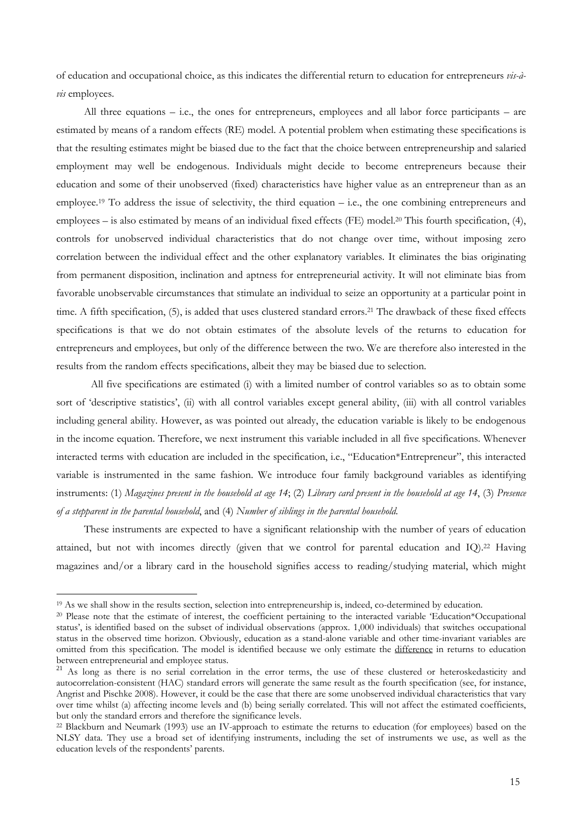of education and occupational choice, as this indicates the differential return to education for entrepreneurs *vis-àvis* employees.

 All three equations – i.e., the ones for entrepreneurs, employees and all labor force participants – are estimated by means of a random effects (RE) model. A potential problem when estimating these specifications is that the resulting estimates might be biased due to the fact that the choice between entrepreneurship and salaried employment may well be endogenous. Individuals might decide to become entrepreneurs because their education and some of their unobserved (fixed) characteristics have higher value as an entrepreneur than as an employee.<sup>19</sup> To address the issue of selectivity, the third equation  $-$  i.e., the one combining entrepreneurs and employees – is also estimated by means of an individual fixed effects (FE) model.<sup>20</sup> This fourth specification, (4), controls for unobserved individual characteristics that do not change over time, without imposing zero correlation between the individual effect and the other explanatory variables. It eliminates the bias originating from permanent disposition, inclination and aptness for entrepreneurial activity. It will not eliminate bias from favorable unobservable circumstances that stimulate an individual to seize an opportunity at a particular point in time. A fifth specification, (5), is added that uses clustered standard errors.<sup>21</sup> The drawback of these fixed effects specifications is that we do not obtain estimates of the absolute levels of the returns to education for entrepreneurs and employees, but only of the difference between the two. We are therefore also interested in the results from the random effects specifications, albeit they may be biased due to selection.

 All five specifications are estimated (i) with a limited number of control variables so as to obtain some sort of 'descriptive statistics', (ii) with all control variables except general ability, (iii) with all control variables including general ability. However, as was pointed out already, the education variable is likely to be endogenous in the income equation. Therefore, we next instrument this variable included in all five specifications. Whenever interacted terms with education are included in the specification, i.e., "Education\*Entrepreneur", this interacted variable is instrumented in the same fashion. We introduce four family background variables as identifying instruments: (1) *Magazines present in the household at age 14*; (2) *Library card present in the household at age 14*, (3) *Presence of a stepparent in the parental household*, and (4) *Number of siblings in the parental household*.

These instruments are expected to have a significant relationship with the number of years of education attained, but not with incomes directly (given that we control for parental education and IQ).<sup>22</sup> Having magazines and/or a library card in the household signifies access to reading/studying material, which might

<sup>&</sup>lt;sup>19</sup> As we shall show in the results section, selection into entrepreneurship is, indeed, co-determined by education.<br><sup>20</sup> Please note that the estimate of interest, the coefficient pertaining to the interacted variable '

status', is identified based on the subset of individual observations (approx. 1,000 individuals) that switches occupational status in the observed time horizon. Obviously, education as a stand-alone variable and other time-invariant variables are omitted from this specification. The model is identified because we only estimate the difference in returns to education between entrepreneurial and employee status.<br><sup>21</sup> As long as there is no serial correlation in the error terms, the use of these clustered or heteroskedasticity and

autocorrelation-consistent (HAC) standard errors will generate the same result as the fourth specification (see, for instance, Angrist and Pischke 2008). However, it could be the case that there are some unobserved individual characteristics that vary over time whilst (a) affecting income levels and (b) being serially correlated. This will not affect the estimated coefficients, but only the standard errors and therefore the significance levels.

<sup>&</sup>lt;sup>22</sup> Blackburn and Neumark (1993) use an IV-approach to estimate the returns to education (for employees) based on the NLSY data. They use a broad set of identifying instruments, including the set of instruments we use, as well as the education levels of the respondents' parents.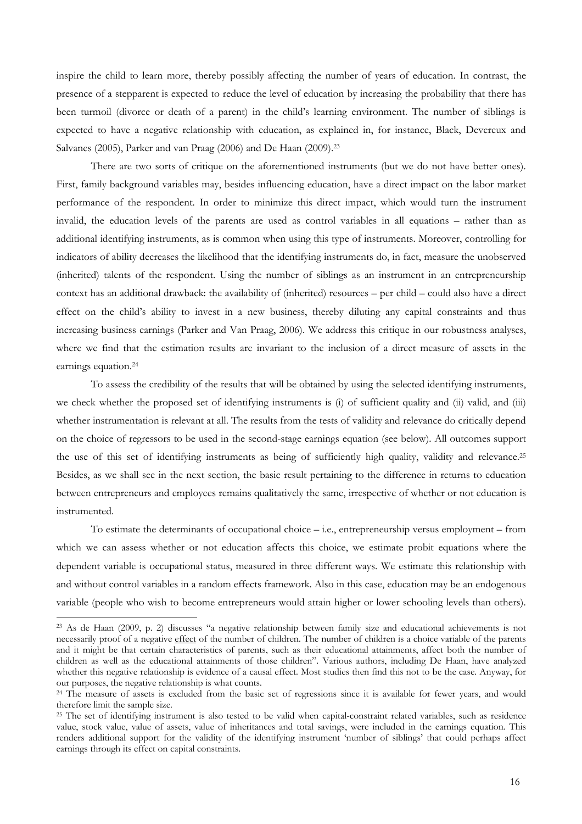inspire the child to learn more, thereby possibly affecting the number of years of education. In contrast, the presence of a stepparent is expected to reduce the level of education by increasing the probability that there has been turmoil (divorce or death of a parent) in the child's learning environment. The number of siblings is expected to have a negative relationship with education, as explained in, for instance, Black, Devereux and Salvanes (2005), Parker and van Praag (2006) and De Haan (2009).23

 There are two sorts of critique on the aforementioned instruments (but we do not have better ones). First, family background variables may, besides influencing education, have a direct impact on the labor market performance of the respondent. In order to minimize this direct impact, which would turn the instrument invalid, the education levels of the parents are used as control variables in all equations – rather than as additional identifying instruments, as is common when using this type of instruments. Moreover, controlling for indicators of ability decreases the likelihood that the identifying instruments do, in fact, measure the unobserved (inherited) talents of the respondent. Using the number of siblings as an instrument in an entrepreneurship context has an additional drawback: the availability of (inherited) resources – per child – could also have a direct effect on the child's ability to invest in a new business, thereby diluting any capital constraints and thus increasing business earnings (Parker and Van Praag, 2006). We address this critique in our robustness analyses, where we find that the estimation results are invariant to the inclusion of a direct measure of assets in the earnings equation.24

 To assess the credibility of the results that will be obtained by using the selected identifying instruments, we check whether the proposed set of identifying instruments is (i) of sufficient quality and (ii) valid, and (iii) whether instrumentation is relevant at all. The results from the tests of validity and relevance do critically depend on the choice of regressors to be used in the second-stage earnings equation (see below). All outcomes support the use of this set of identifying instruments as being of sufficiently high quality, validity and relevance.25 Besides, as we shall see in the next section, the basic result pertaining to the difference in returns to education between entrepreneurs and employees remains qualitatively the same, irrespective of whether or not education is instrumented.

 To estimate the determinants of occupational choice – i.e., entrepreneurship versus employment – from which we can assess whether or not education affects this choice, we estimate probit equations where the dependent variable is occupational status, measured in three different ways. We estimate this relationship with and without control variables in a random effects framework. Also in this case, education may be an endogenous variable (people who wish to become entrepreneurs would attain higher or lower schooling levels than others).

<sup>23</sup> As de Haan (2009, p. 2) discusses "a negative relationship between family size and educational achievements is not necessarily proof of a negative effect of the number of children. The number of children is a choice variable of the parents and it might be that certain characteristics of parents, such as their educational attainments, affect both the number of children as well as the educational attainments of those children". Various authors, including De Haan, have analyzed whether this negative relationship is evidence of a causal effect. Most studies then find this not to be the case. Anyway, for our purposes, the negative relationship is what counts. 24 The measure of assets is excluded from the basic set of regressions since it is available for fewer years, and would

therefore limit the sample size.

<sup>&</sup>lt;sup>25</sup> The set of identifying instrument is also tested to be valid when capital-constraint related variables, such as residence value, stock value, value of assets, value of inheritances and total savings, were included in the earnings equation. This renders additional support for the validity of the identifying instrument 'number of siblings' that could perhaps affect earnings through its effect on capital constraints.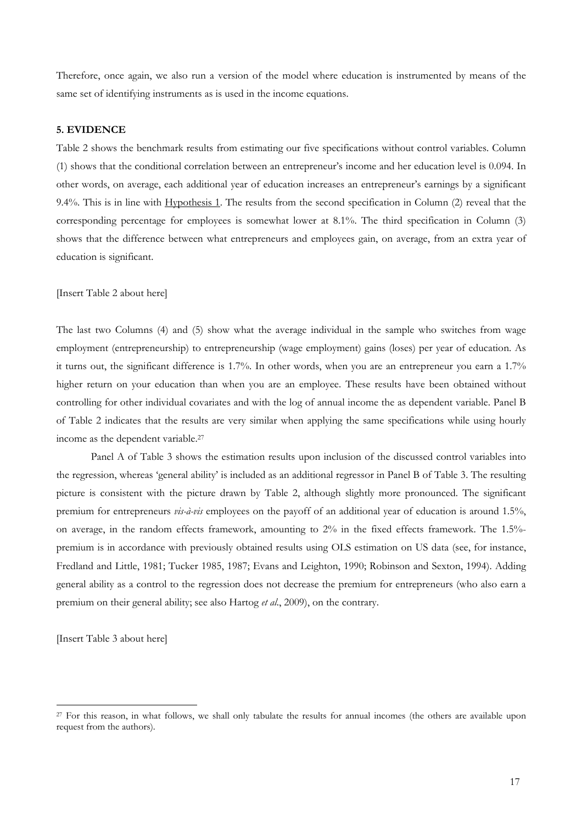Therefore, once again, we also run a version of the model where education is instrumented by means of the same set of identifying instruments as is used in the income equations.

#### **5. EVIDENCE**

Table 2 shows the benchmark results from estimating our five specifications without control variables. Column (1) shows that the conditional correlation between an entrepreneur's income and her education level is 0.094. In other words, on average, each additional year of education increases an entrepreneur's earnings by a significant 9.4%. This is in line with Hypothesis 1. The results from the second specification in Column (2) reveal that the corresponding percentage for employees is somewhat lower at 8.1%. The third specification in Column (3) shows that the difference between what entrepreneurs and employees gain, on average, from an extra year of education is significant.

[Insert Table 2 about here]

The last two Columns (4) and (5) show what the average individual in the sample who switches from wage employment (entrepreneurship) to entrepreneurship (wage employment) gains (loses) per year of education. As it turns out, the significant difference is 1.7%. In other words, when you are an entrepreneur you earn a 1.7% higher return on your education than when you are an employee. These results have been obtained without controlling for other individual covariates and with the log of annual income the as dependent variable. Panel B of Table 2 indicates that the results are very similar when applying the same specifications while using hourly income as the dependent variable.27

 Panel A of Table 3 shows the estimation results upon inclusion of the discussed control variables into the regression, whereas 'general ability' is included as an additional regressor in Panel B of Table 3. The resulting picture is consistent with the picture drawn by Table 2, although slightly more pronounced. The significant premium for entrepreneurs *vis-à-vis* employees on the payoff of an additional year of education is around 1.5%, on average, in the random effects framework, amounting to 2% in the fixed effects framework. The 1.5% premium is in accordance with previously obtained results using OLS estimation on US data (see, for instance, Fredland and Little, 1981; Tucker 1985, 1987; Evans and Leighton, 1990; Robinson and Sexton, 1994). Adding general ability as a control to the regression does not decrease the premium for entrepreneurs (who also earn a premium on their general ability; see also Hartog *et al*., 2009), on the contrary.

[Insert Table 3 about here]

<sup>&</sup>lt;sup>27</sup> For this reason, in what follows, we shall only tabulate the results for annual incomes (the others are available upon request from the authors).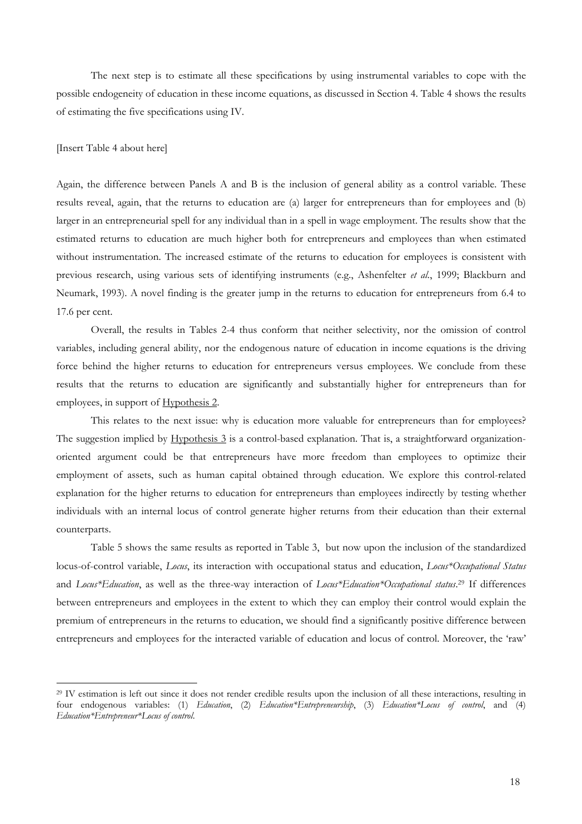The next step is to estimate all these specifications by using instrumental variables to cope with the possible endogeneity of education in these income equations, as discussed in Section 4. Table 4 shows the results of estimating the five specifications using IV.

#### [Insert Table 4 about here]

 $\overline{a}$ 

Again, the difference between Panels A and B is the inclusion of general ability as a control variable. These results reveal, again, that the returns to education are (a) larger for entrepreneurs than for employees and (b) larger in an entrepreneurial spell for any individual than in a spell in wage employment. The results show that the estimated returns to education are much higher both for entrepreneurs and employees than when estimated without instrumentation. The increased estimate of the returns to education for employees is consistent with previous research, using various sets of identifying instruments (e.g., Ashenfelter *et al*., 1999; Blackburn and Neumark, 1993). A novel finding is the greater jump in the returns to education for entrepreneurs from 6.4 to 17.6 per cent.

 Overall, the results in Tables 2-4 thus conform that neither selectivity, nor the omission of control variables, including general ability, nor the endogenous nature of education in income equations is the driving force behind the higher returns to education for entrepreneurs versus employees. We conclude from these results that the returns to education are significantly and substantially higher for entrepreneurs than for employees, in support of Hypothesis 2.

 This relates to the next issue: why is education more valuable for entrepreneurs than for employees? The suggestion implied by Hypothesis 3 is a control-based explanation. That is, a straightforward organizationoriented argument could be that entrepreneurs have more freedom than employees to optimize their employment of assets, such as human capital obtained through education. We explore this control-related explanation for the higher returns to education for entrepreneurs than employees indirectly by testing whether individuals with an internal locus of control generate higher returns from their education than their external counterparts.

 Table 5 shows the same results as reported in Table 3, but now upon the inclusion of the standardized locus-of-control variable, *Locus*, its interaction with occupational status and education, *Locus\*Occupational Status* and *Locus\*Education*, as well as the three-way interaction of *Locus\*Education\*Occupational status*. 29 If differences between entrepreneurs and employees in the extent to which they can employ their control would explain the premium of entrepreneurs in the returns to education, we should find a significantly positive difference between entrepreneurs and employees for the interacted variable of education and locus of control. Moreover, the 'raw'

<sup>29</sup> IV estimation is left out since it does not render credible results upon the inclusion of all these interactions, resulting in four endogenous variables: (1) *Education*, (2) *Education\*Entrepreneurship*, (3) *Education\*Locus of control*, and (4) *Education\*Entrepreneur\*Locus of control*.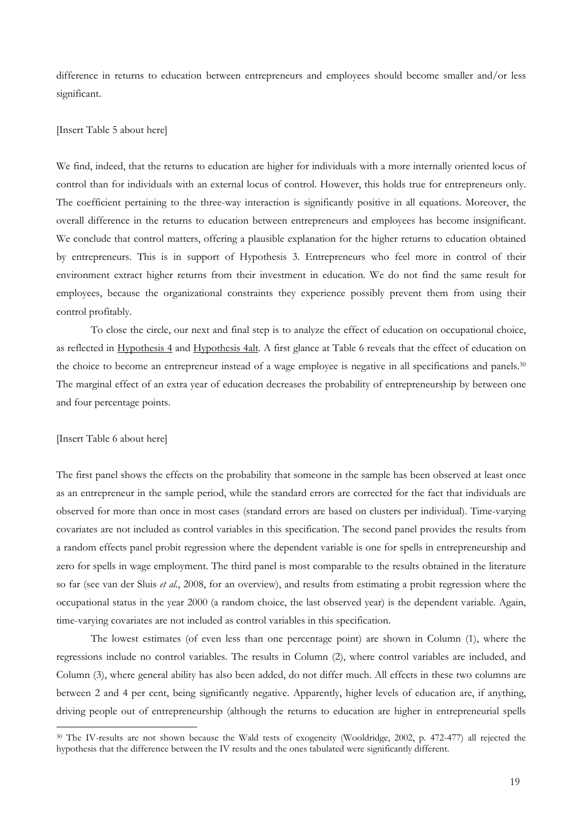difference in returns to education between entrepreneurs and employees should become smaller and/or less significant.

#### [Insert Table 5 about here]

We find, indeed, that the returns to education are higher for individuals with a more internally oriented locus of control than for individuals with an external locus of control. However, this holds true for entrepreneurs only. The coefficient pertaining to the three-way interaction is significantly positive in all equations. Moreover, the overall difference in the returns to education between entrepreneurs and employees has become insignificant. We conclude that control matters, offering a plausible explanation for the higher returns to education obtained by entrepreneurs. This is in support of Hypothesis 3. Entrepreneurs who feel more in control of their environment extract higher returns from their investment in education. We do not find the same result for employees, because the organizational constraints they experience possibly prevent them from using their control profitably.

 To close the circle, our next and final step is to analyze the effect of education on occupational choice, as reflected in Hypothesis 4 and Hypothesis 4alt. A first glance at Table 6 reveals that the effect of education on the choice to become an entrepreneur instead of a wage employee is negative in all specifications and panels.30 The marginal effect of an extra year of education decreases the probability of entrepreneurship by between one and four percentage points.

#### [Insert Table 6 about here]

 $\overline{a}$ 

The first panel shows the effects on the probability that someone in the sample has been observed at least once as an entrepreneur in the sample period, while the standard errors are corrected for the fact that individuals are observed for more than once in most cases (standard errors are based on clusters per individual). Time-varying covariates are not included as control variables in this specification. The second panel provides the results from a random effects panel probit regression where the dependent variable is one for spells in entrepreneurship and zero for spells in wage employment. The third panel is most comparable to the results obtained in the literature so far (see van der Sluis *et al.*, 2008, for an overview), and results from estimating a probit regression where the occupational status in the year 2000 (a random choice, the last observed year) is the dependent variable. Again, time-varying covariates are not included as control variables in this specification.

 The lowest estimates (of even less than one percentage point) are shown in Column (1), where the regressions include no control variables. The results in Column (2), where control variables are included, and Column (3), where general ability has also been added, do not differ much. All effects in these two columns are between 2 and 4 per cent, being significantly negative. Apparently, higher levels of education are, if anything, driving people out of entrepreneurship (although the returns to education are higher in entrepreneurial spells

<sup>30</sup> The IV-results are not shown because the Wald tests of exogeneity (Wooldridge, 2002, p. 472-477) all rejected the hypothesis that the difference between the IV results and the ones tabulated were significantly different.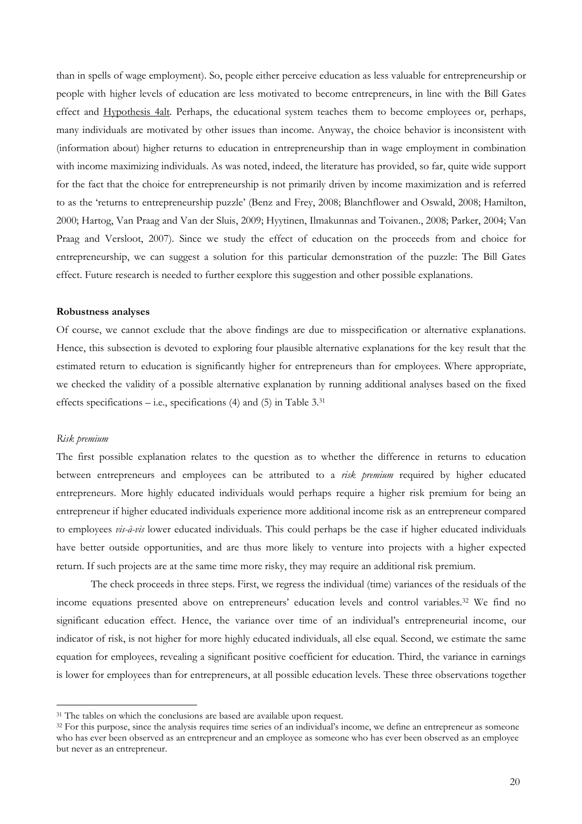than in spells of wage employment). So, people either perceive education as less valuable for entrepreneurship or people with higher levels of education are less motivated to become entrepreneurs, in line with the Bill Gates effect and Hypothesis 4alt. Perhaps, the educational system teaches them to become employees or, perhaps, many individuals are motivated by other issues than income. Anyway, the choice behavior is inconsistent with (information about) higher returns to education in entrepreneurship than in wage employment in combination with income maximizing individuals. As was noted, indeed, the literature has provided, so far, quite wide support for the fact that the choice for entrepreneurship is not primarily driven by income maximization and is referred to as the 'returns to entrepreneurship puzzle' (Benz and Frey, 2008; Blanchflower and Oswald, 2008; Hamilton, 2000; Hartog, Van Praag and Van der Sluis, 2009; Hyytinen, Ilmakunnas and Toivanen., 2008; Parker, 2004; Van Praag and Versloot, 2007). Since we study the effect of education on the proceeds from and choice for entrepreneurship, we can suggest a solution for this particular demonstration of the puzzle: The Bill Gates effect. Future research is needed to further eexplore this suggestion and other possible explanations.

#### **Robustness analyses**

Of course, we cannot exclude that the above findings are due to misspecification or alternative explanations. Hence, this subsection is devoted to exploring four plausible alternative explanations for the key result that the estimated return to education is significantly higher for entrepreneurs than for employees. Where appropriate, we checked the validity of a possible alternative explanation by running additional analyses based on the fixed effects specifications – i.e., specifications (4) and (5) in Table  $3<sup>31</sup>$ 

#### *Risk premium*

 $\overline{a}$ 

The first possible explanation relates to the question as to whether the difference in returns to education between entrepreneurs and employees can be attributed to a *risk premium* required by higher educated entrepreneurs. More highly educated individuals would perhaps require a higher risk premium for being an entrepreneur if higher educated individuals experience more additional income risk as an entrepreneur compared to employees *vis-à-vis* lower educated individuals. This could perhaps be the case if higher educated individuals have better outside opportunities, and are thus more likely to venture into projects with a higher expected return. If such projects are at the same time more risky, they may require an additional risk premium.

 The check proceeds in three steps. First, we regress the individual (time) variances of the residuals of the income equations presented above on entrepreneurs' education levels and control variables.32 We find no significant education effect. Hence, the variance over time of an individual's entrepreneurial income, our indicator of risk, is not higher for more highly educated individuals, all else equal. Second, we estimate the same equation for employees, revealing a significant positive coefficient for education. Third, the variance in earnings is lower for employees than for entrepreneurs, at all possible education levels. These three observations together

<sup>&</sup>lt;sup>31</sup> The tables on which the conclusions are based are available upon request.<br><sup>32</sup> For this purpose, since the analysis requires time series of an individual's income, we define an entrepreneur as someone who has ever been observed as an entrepreneur and an employee as someone who has ever been observed as an employee but never as an entrepreneur.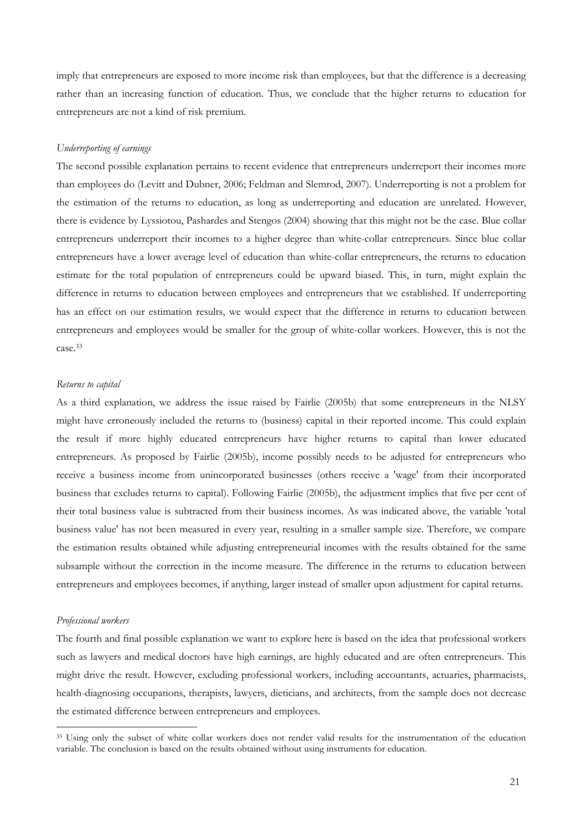imply that entrepreneurs are exposed to more income risk than employees, but that the difference is a decreasing rather than an increasing function of education. Thus, we conclude that the higher returns to education for entrepreneurs are not a kind of risk premium.

#### *Underreporting of earnings*

The second possible explanation pertains to recent evidence that entrepreneurs underreport their incomes more than employees do (Levitt and Dubner, 2006; Feldman and Slemrod, 2007). Underreporting is not a problem for the estimation of the returns to education, as long as underreporting and education are unrelated. However, there is evidence by Lyssiotou, Pashardes and Stengos (2004) showing that this might not be the case. Blue collar entrepreneurs underreport their incomes to a higher degree than white-collar entrepreneurs. Since blue collar entrepreneurs have a lower average level of education than white-collar entrepreneurs, the returns to education estimate for the total population of entrepreneurs could be upward biased. This, in turn, might explain the difference in returns to education between employees and entrepreneurs that we established. If underreporting has an effect on our estimation results, we would expect that the difference in returns to education between entrepreneurs and employees would be smaller for the group of white-collar workers. However, this is not the case.33

#### *Returns to capital*

As a third explanation, we address the issue raised by Fairlie (2005b) that some entrepreneurs in the NLSY might have erroneously included the returns to (business) capital in their reported income. This could explain the result if more highly educated entrepreneurs have higher returns to capital than lower educated entrepreneurs. As proposed by Fairlie (2005b), income possibly needs to be adjusted for entrepreneurs who receive a business income from unincorporated businesses (others receive a 'wage' from their incorporated business that excludes returns to capital). Following Fairlie (2005b), the adjustment implies that five per cent of their total business value is subtracted from their business incomes. As was indicated above, the variable 'total business value' has not been measured in every year, resulting in a smaller sample size. Therefore, we compare the estimation results obtained while adjusting entrepreneurial incomes with the results obtained for the same subsample without the correction in the income measure. The difference in the returns to education between entrepreneurs and employees becomes, if anything, larger instead of smaller upon adjustment for capital returns.

#### *Professional workers*

 $\overline{a}$ 

The fourth and final possible explanation we want to explore here is based on the idea that professional workers such as lawyers and medical doctors have high earnings, are highly educated and are often entrepreneurs. This might drive the result. However, excluding professional workers, including accountants, actuaries, pharmacists, health-diagnosing occupations, therapists, lawyers, dieticians, and architects, from the sample does not decrease the estimated difference between entrepreneurs and employees.

<sup>&</sup>lt;sup>33</sup> Using only the subset of white collar workers does not render valid results for the instrumentation of the education variable. The conclusion is based on the results obtained without using instruments for education.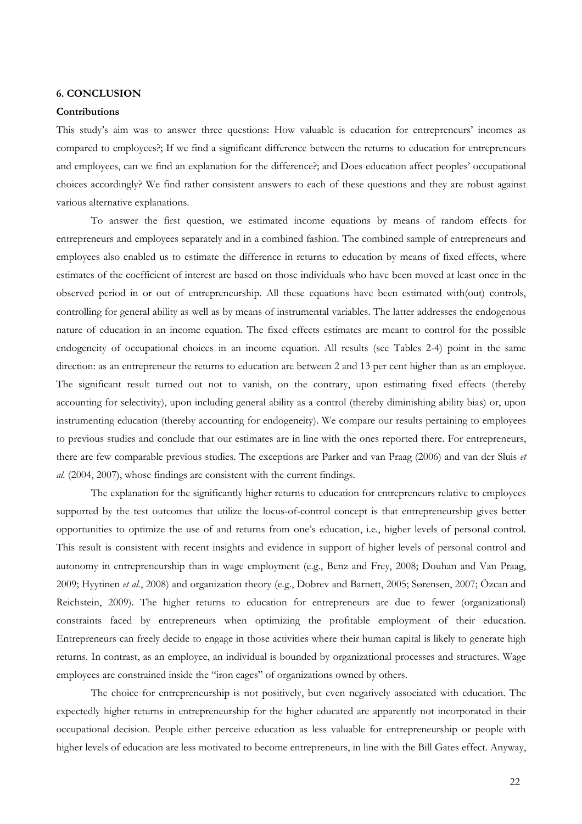#### **6. CONCLUSION**

#### **Contributions**

This study's aim was to answer three questions: How valuable is education for entrepreneurs' incomes as compared to employees?; If we find a significant difference between the returns to education for entrepreneurs and employees, can we find an explanation for the difference?; and Does education affect peoples' occupational choices accordingly? We find rather consistent answers to each of these questions and they are robust against various alternative explanations.

 To answer the first question, we estimated income equations by means of random effects for entrepreneurs and employees separately and in a combined fashion. The combined sample of entrepreneurs and employees also enabled us to estimate the difference in returns to education by means of fixed effects, where estimates of the coefficient of interest are based on those individuals who have been moved at least once in the observed period in or out of entrepreneurship. All these equations have been estimated with(out) controls, controlling for general ability as well as by means of instrumental variables. The latter addresses the endogenous nature of education in an income equation. The fixed effects estimates are meant to control for the possible endogeneity of occupational choices in an income equation. All results (see Tables 2-4) point in the same direction: as an entrepreneur the returns to education are between 2 and 13 per cent higher than as an employee. The significant result turned out not to vanish, on the contrary, upon estimating fixed effects (thereby accounting for selectivity), upon including general ability as a control (thereby diminishing ability bias) or, upon instrumenting education (thereby accounting for endogeneity). We compare our results pertaining to employees to previous studies and conclude that our estimates are in line with the ones reported there. For entrepreneurs, there are few comparable previous studies. The exceptions are Parker and van Praag (2006) and van der Sluis *et al.* (2004, 2007), whose findings are consistent with the current findings.

The explanation for the significantly higher returns to education for entrepreneurs relative to employees supported by the test outcomes that utilize the locus-of-control concept is that entrepreneurship gives better opportunities to optimize the use of and returns from one's education, i.e., higher levels of personal control. This result is consistent with recent insights and evidence in support of higher levels of personal control and autonomy in entrepreneurship than in wage employment (e.g., Benz and Frey, 2008; Douhan and Van Praag, 2009; Hyytinen *et al.*, 2008) and organization theory (e.g., Dobrev and Barnett, 2005; Sørensen, 2007; Özcan and Reichstein, 2009). The higher returns to education for entrepreneurs are due to fewer (organizational) constraints faced by entrepreneurs when optimizing the profitable employment of their education. Entrepreneurs can freely decide to engage in those activities where their human capital is likely to generate high returns. In contrast, as an employee, an individual is bounded by organizational processes and structures. Wage employees are constrained inside the "iron cages" of organizations owned by others.

The choice for entrepreneurship is not positively, but even negatively associated with education. The expectedly higher returns in entrepreneurship for the higher educated are apparently not incorporated in their occupational decision. People either perceive education as less valuable for entrepreneurship or people with higher levels of education are less motivated to become entrepreneurs, in line with the Bill Gates effect. Anyway,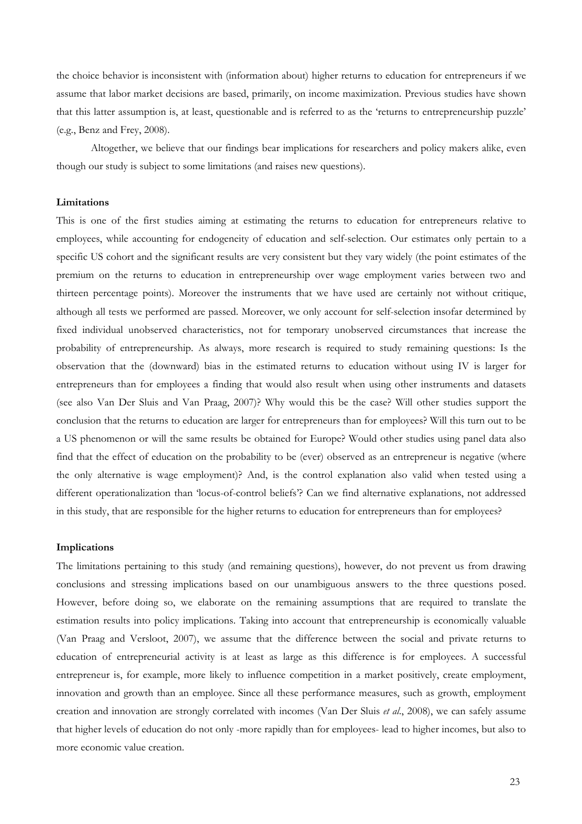the choice behavior is inconsistent with (information about) higher returns to education for entrepreneurs if we assume that labor market decisions are based, primarily, on income maximization. Previous studies have shown that this latter assumption is, at least, questionable and is referred to as the 'returns to entrepreneurship puzzle' (e.g., Benz and Frey, 2008).

Altogether, we believe that our findings bear implications for researchers and policy makers alike, even though our study is subject to some limitations (and raises new questions).

# **Limitations**

This is one of the first studies aiming at estimating the returns to education for entrepreneurs relative to employees, while accounting for endogeneity of education and self-selection. Our estimates only pertain to a specific US cohort and the significant results are very consistent but they vary widely (the point estimates of the premium on the returns to education in entrepreneurship over wage employment varies between two and thirteen percentage points). Moreover the instruments that we have used are certainly not without critique, although all tests we performed are passed. Moreover, we only account for self-selection insofar determined by fixed individual unobserved characteristics, not for temporary unobserved circumstances that increase the probability of entrepreneurship. As always, more research is required to study remaining questions: Is the observation that the (downward) bias in the estimated returns to education without using IV is larger for entrepreneurs than for employees a finding that would also result when using other instruments and datasets (see also Van Der Sluis and Van Praag, 2007)? Why would this be the case? Will other studies support the conclusion that the returns to education are larger for entrepreneurs than for employees? Will this turn out to be a US phenomenon or will the same results be obtained for Europe? Would other studies using panel data also find that the effect of education on the probability to be (ever) observed as an entrepreneur is negative (where the only alternative is wage employment)? And, is the control explanation also valid when tested using a different operationalization than 'locus-of-control beliefs'? Can we find alternative explanations, not addressed in this study, that are responsible for the higher returns to education for entrepreneurs than for employees?

#### **Implications**

The limitations pertaining to this study (and remaining questions), however, do not prevent us from drawing conclusions and stressing implications based on our unambiguous answers to the three questions posed. However, before doing so, we elaborate on the remaining assumptions that are required to translate the estimation results into policy implications. Taking into account that entrepreneurship is economically valuable (Van Praag and Versloot, 2007), we assume that the difference between the social and private returns to education of entrepreneurial activity is at least as large as this difference is for employees. A successful entrepreneur is, for example, more likely to influence competition in a market positively, create employment, innovation and growth than an employee. Since all these performance measures, such as growth, employment creation and innovation are strongly correlated with incomes (Van Der Sluis *et al*., 2008), we can safely assume that higher levels of education do not only -more rapidly than for employees- lead to higher incomes, but also to more economic value creation.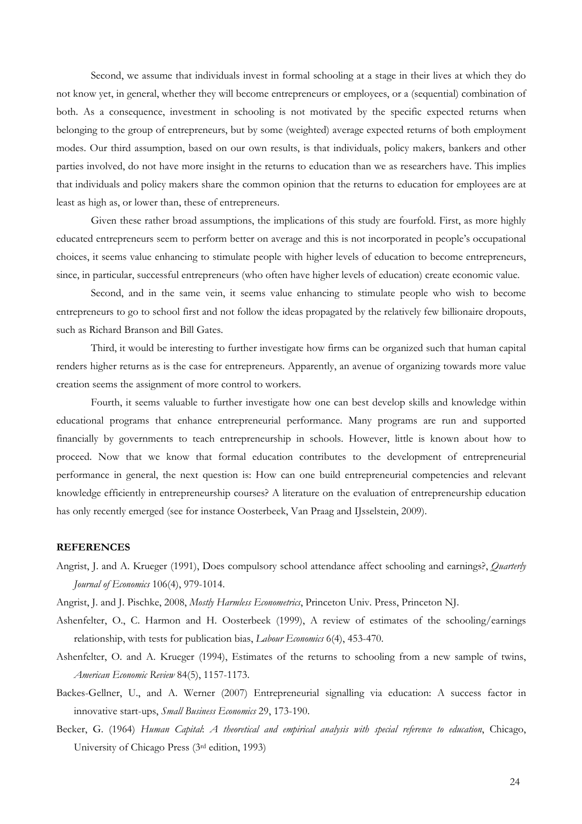Second, we assume that individuals invest in formal schooling at a stage in their lives at which they do not know yet, in general, whether they will become entrepreneurs or employees, or a (sequential) combination of both. As a consequence, investment in schooling is not motivated by the specific expected returns when belonging to the group of entrepreneurs, but by some (weighted) average expected returns of both employment modes. Our third assumption, based on our own results, is that individuals, policy makers, bankers and other parties involved, do not have more insight in the returns to education than we as researchers have. This implies that individuals and policy makers share the common opinion that the returns to education for employees are at least as high as, or lower than, these of entrepreneurs.

 Given these rather broad assumptions, the implications of this study are fourfold. First, as more highly educated entrepreneurs seem to perform better on average and this is not incorporated in people's occupational choices, it seems value enhancing to stimulate people with higher levels of education to become entrepreneurs, since, in particular, successful entrepreneurs (who often have higher levels of education) create economic value.

 Second, and in the same vein, it seems value enhancing to stimulate people who wish to become entrepreneurs to go to school first and not follow the ideas propagated by the relatively few billionaire dropouts, such as Richard Branson and Bill Gates.

 Third, it would be interesting to further investigate how firms can be organized such that human capital renders higher returns as is the case for entrepreneurs. Apparently, an avenue of organizing towards more value creation seems the assignment of more control to workers.

 Fourth, it seems valuable to further investigate how one can best develop skills and knowledge within educational programs that enhance entrepreneurial performance. Many programs are run and supported financially by governments to teach entrepreneurship in schools. However, little is known about how to proceed. Now that we know that formal education contributes to the development of entrepreneurial performance in general, the next question is: How can one build entrepreneurial competencies and relevant knowledge efficiently in entrepreneurship courses? A literature on the evaluation of entrepreneurship education has only recently emerged (see for instance Oosterbeek, Van Praag and IJsselstein, 2009).

#### **REFERENCES**

- Angrist, J. and A. Krueger (1991), Does compulsory school attendance affect schooling and earnings?, *Quarterly Journal of Economics* 106(4), 979-1014.
- Angrist, J. and J. Pischke, 2008, *Mostly Harmless Econometrics*, Princeton Univ. Press, Princeton NJ.
- Ashenfelter, O., C. Harmon and H. Oosterbeek (1999), A review of estimates of the schooling/earnings relationship, with tests for publication bias, *Labour Economics* 6(4), 453-470.
- Ashenfelter, O. and A. Krueger (1994), Estimates of the returns to schooling from a new sample of twins, *American Economic Review* 84(5), 1157-1173.
- Backes-Gellner, U., and A. Werner (2007) Entrepreneurial signalling via education: A success factor in innovative start-ups, *Small Business Economics* 29, 173-190.
- Becker, G. (1964) *Human Capital*: *A theoretical and empirical analysis with special reference to education*, Chicago, University of Chicago Press (3rd edition, 1993)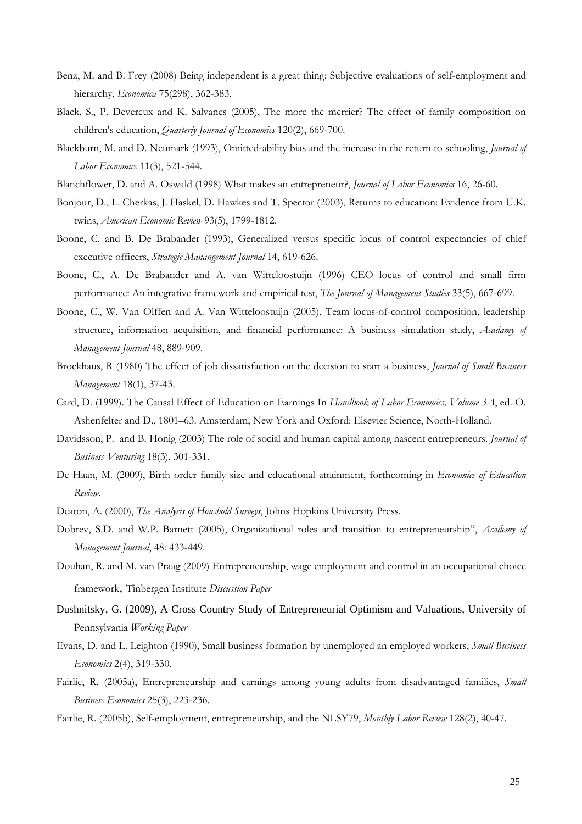- Benz, M. and B. Frey (2008) Being independent is a great thing: Subjective evaluations of self-employment and hierarchy, *Economica* 75(298), 362-383.
- Black, S., P. Devereux and K. Salvanes (2005), The more the merrier? The effect of family composition on children's education, *Quarterly Journal of Economics* 120(2), 669-700.
- Blackburn, M. and D. Neumark (1993), Omitted-ability bias and the increase in the return to schooling, *Journal of Labor Economics* 11(3), 521-544.
- Blanchflower, D. and A. Oswald (1998) What makes an entrepreneur?, *Journal of Labor Economics* 16, 26-60.
- Bonjour, D., L. Cherkas, J. Haskel, D. Hawkes and T. Spector (2003), Returns to education: Evidence from U.K. twins, *American Economic Review* 93(5), 1799-1812.
- Boone, C. and B. De Brabander (1993), Generalized versus specific locus of control expectancies of chief executive officers, *Strategic Manangement Journal* 14, 619-626.
- Boone, C., A. De Brabander and A. van Witteloostuijn (1996) CEO locus of control and small firm performance: An integrative framework and empirical test, *The Journal of Management Studies* 33(5), 667-699.
- Boone, C., W. Van Olffen and A. Van Witteloostuijn (2005), Team locus-of-control composition, leadership structure, information acquisition, and financial performance: A business simulation study, *Acadamy of Management Journal* 48, 889-909.
- Brockhaus, R (1980) The effect of job dissatisfaction on the decision to start a business, *Journal of Small Business Management* 18(1), 37-43.
- Card, D. (1999). The Causal Effect of Education on Earnings In *Handbook of Labor Economics, Volume 3A*, ed. O. Ashenfelter and D., 1801–63. Amsterdam; New York and Oxford: Elsevier Science, North-Holland.
- Davidsson, P. and B. Honig (2003) The role of social and human capital among nascent entrepreneurs. *Journal of Business Venturing* 18(3), 301-331.
- De Haan, M. (2009), Birth order family size and educational attainment, forthcoming in *Economics of Education Review*.
- Deaton, A. (2000), *The Analysis of Houshold Surveys*, Johns Hopkins University Press.
- Dobrev, S.D. and W.P. Barnett (2005), Organizational roles and transition to entrepreneurship", *Academy of Management Journal*, 48: 433-449.
- Douhan, R. and M. van Praag (2009) Entrepreneurship, wage employment and control in an occupational choice framework, Tinbergen Institute *Discussion Paper*
- Dushnitsky, G. (2009), A Cross Country Study of Entrepreneurial Optimism and Valuations, University of Pennsylvania *Working Paper*
- Evans, D. and L. Leighton (1990), Small business formation by unemployed an employed workers, *Small Business Economics* 2(4), 319-330.
- Fairlie, R. (2005a), Entrepreneurship and earnings among young adults from disadvantaged families, *Small Business Economics* 25(3), 223-236.
- Fairlie, R. (2005b), Self-employment, entrepreneurship, and the NLSY79, *Monthly Labor Review* 128(2), 40-47.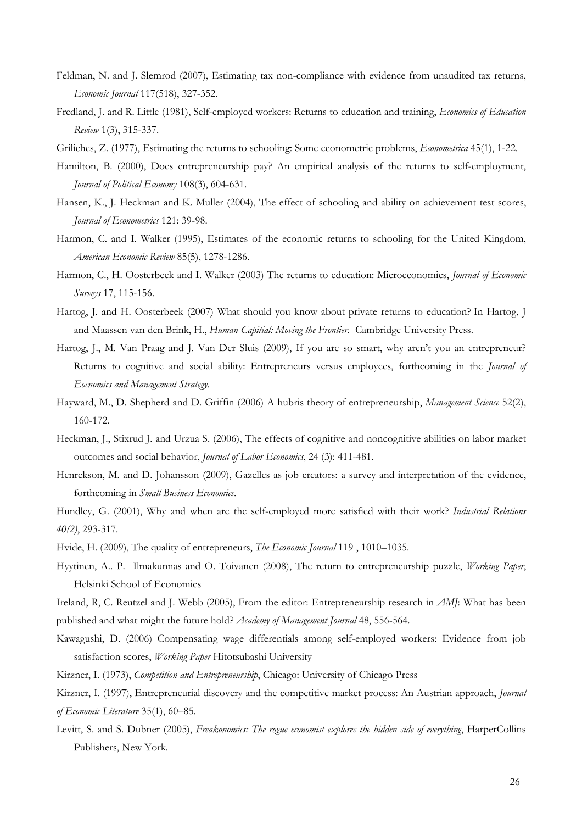- Feldman, N. and J. Slemrod (2007), Estimating tax non-compliance with evidence from unaudited tax returns, *Economic Journal* 117(518), 327-352.
- Fredland, J. and R. Little (1981), Self-employed workers: Returns to education and training, *Economics of Education Review* 1(3), 315-337.
- Griliches, Z. (1977), Estimating the returns to schooling: Some econometric problems, *Econometrica* 45(1), 1-22.
- Hamilton, B. (2000), Does entrepreneurship pay? An empirical analysis of the returns to self-employment, *Journal of Political Economy* 108(3), 604-631.
- Hansen, K., J. Heckman and K. Muller (2004), The effect of schooling and ability on achievement test scores, *Journal of Econometrics* 121: 39-98.
- Harmon, C. and I. Walker (1995), Estimates of the economic returns to schooling for the United Kingdom, *American Economic Review* 85(5), 1278-1286.
- Harmon, C., H. Oosterbeek and I. Walker (2003) The returns to education: Microeconomics, *Journal of Economic Surveys* 17, 115-156.
- Hartog, J. and H. Oosterbeek (2007) What should you know about private returns to education? In Hartog, J and Maassen van den Brink, H., *Human Capitial: Moving the Frontier*. Cambridge University Press.
- Hartog, J., M. Van Praag and J. Van Der Sluis (2009), If you are so smart, why aren't you an entrepreneur? Returns to cognitive and social ability: Entrepreneurs versus employees, forthcoming in the *Journal of Eocnomics and Management Strategy*.
- Hayward, M., D. Shepherd and D. Griffin (2006) A hubris theory of entrepreneurship, *Management Science* 52(2), 160-172.
- Heckman, J., Stixrud J. and Urzua S. (2006), The effects of cognitive and noncognitive abilities on labor market outcomes and social behavior, *Journal of Labor Economics*, 24 (3): 411-481.
- Henrekson, M. and D. Johansson (2009), Gazelles as job creators: a survey and interpretation of the evidence, forthcoming in *Small Business Economics*.

Hundley, G. (2001), Why and when are the self-employed more satisfied with their work? *Industrial Relations 40(2)*, 293-317.

Hvide, H. (2009), The quality of entrepreneurs, *The Economic Journal* 119 , 1010–1035.

- Hyytinen, A.. P. Ilmakunnas and O. Toivanen (2008), The return to entrepreneurship puzzle, *Working Paper*, Helsinki School of Economics
- Ireland, R, C. Reutzel and J. Webb (2005), From the editor: Entrepreneurship research in *AMJ*: What has been published and what might the future hold? *Academy of Management Journal* 48, 556-564.
- Kawagushi, D. (2006) Compensating wage differentials among self-employed workers: Evidence from job satisfaction scores, *Working Paper* Hitotsubashi University
- Kirzner, I. (1973), *Competition and Entrepreneurship*, Chicago: University of Chicago Press
- Kirzner, I. (1997), Entrepreneurial discovery and the competitive market process: An Austrian approach, *Journal of Economic Literature* 35(1), 60–85.
- Levitt, S. and S. Dubner (2005), *Freakonomics: The rogue economist explores the hidden side of everything*, HarperCollins Publishers, New York.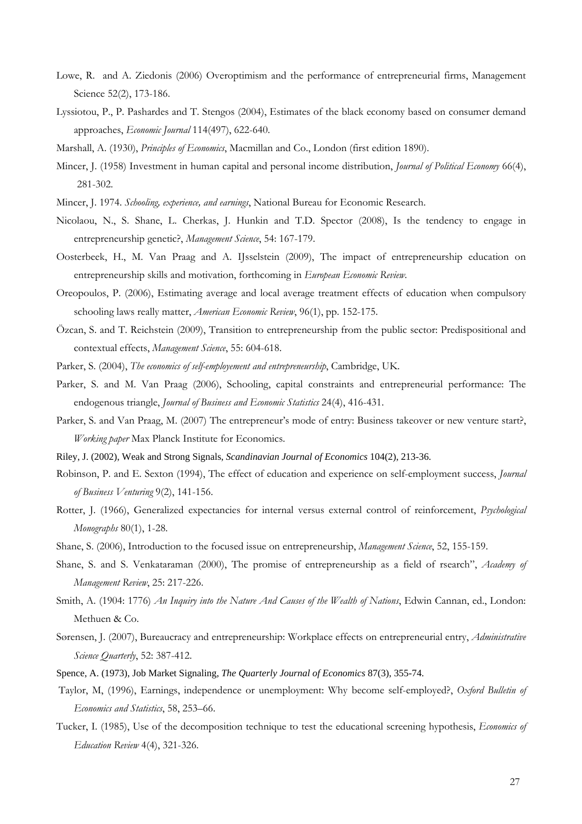- Lowe, R. and A. Ziedonis (2006) Overoptimism and the performance of entrepreneurial firms, Management Science 52(2), 173-186.
- Lyssiotou, P., P. Pashardes and T. Stengos (2004), Estimates of the black economy based on consumer demand approaches, *Economic Journal* 114(497), 622-640.
- Marshall, A. (1930), *Principles of Economics*, Macmillan and Co., London (first edition 1890).
- Mincer, J. (1958) Investment in human capital and personal income distribution, *Journal of Political Economy* 66(4), 281-302.
- Mincer, J. 1974. *Schooling, experience, and earnings*, National Bureau for Economic Research.
- Nicolaou, N., S. Shane, L. Cherkas, J. Hunkin and T.D. Spector (2008), Is the tendency to engage in entrepreneurship genetic?, *Management Science*, 54: 167-179.
- Oosterbeek, H., M. Van Praag and A. IJsselstein (2009), The impact of entrepreneurship education on entrepreneurship skills and motivation, forthcoming in *European Economic Review*.
- Oreopoulos, P. (2006), Estimating average and local average treatment effects of education when compulsory schooling laws really matter, *American Economic Review*, 96(1), pp. 152-175.
- Özcan, S. and T. Reichstein (2009), Transition to entrepreneurship from the public sector: Predispositional and contextual effects, *Management Science*, 55: 604-618.
- Parker, S. (2004), *The economics of self-employement and entrepreneurship*, Cambridge, UK.
- Parker, S. and M. Van Praag (2006), Schooling, capital constraints and entrepreneurial performance: The endogenous triangle, *Journal of Business and Economic Statistics* 24(4), 416-431.
- Parker, S. and Van Praag, M. (2007) The entrepreneur's mode of entry: Business takeover or new venture start?, *Working paper* Max Planck Institute for Economics.
- Riley, J. (2002), Weak and Strong Signals, *Scandinavian Journal of Economics* 104(2), 213-36.
- Robinson, P. and E. Sexton (1994), The effect of education and experience on self-employment success, *Journal of Business Venturing* 9(2), 141-156.
- Rotter, J. (1966), Generalized expectancies for internal versus external control of reinforcement, *Psychological Monographs* 80(1), 1-28.
- Shane, S. (2006), Introduction to the focused issue on entrepreneurship, *Management Science*, 52, 155-159.
- Shane, S. and S. Venkataraman (2000), The promise of entrepreneurship as a field of rsearch", *Academy of Management Review*, 25: 217-226.
- Smith, A. (1904: 1776) *An Inquiry into the Nature And Causes of the Wealth of Nations*, Edwin Cannan, ed., London: Methuen & Co.
- Sørensen, J. (2007), Bureaucracy and entrepreneurship: Workplace effects on entrepreneurial entry, *Administrative Science Quarterly*, 52: 387-412.
- Spence, A. (1973), Job Market Signaling, *The Quarterly Journal of Economics* 87(3), 355-74.
- Taylor, M, (1996), Earnings, independence or unemployment: Why become self-employed?, *Oxford Bulletin of Economics and Statistics*, 58, 253–66.
- Tucker, I. (1985), Use of the decomposition technique to test the educational screening hypothesis, *Economics of Education Review* 4(4), 321-326.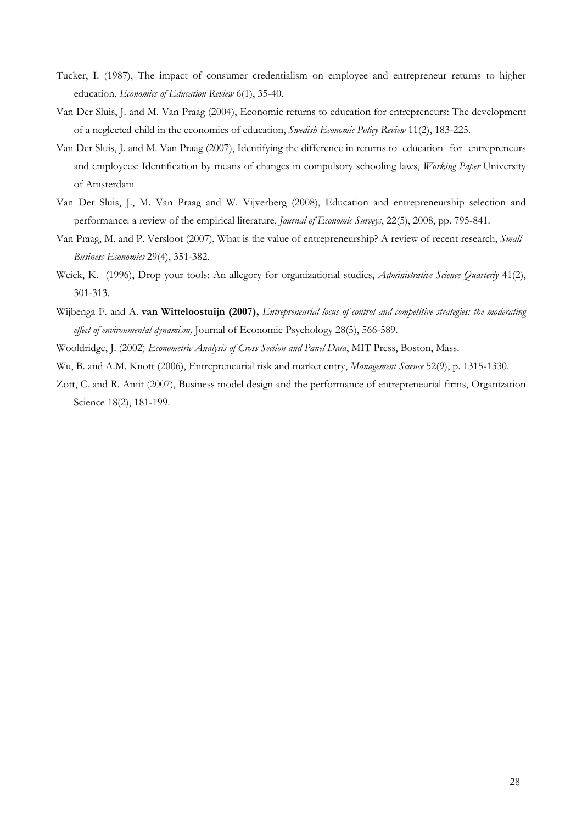- Tucker, I. (1987), The impact of consumer credentialism on employee and entrepreneur returns to higher education, *Economics of Education Review* 6(1), 35-40.
- Van Der Sluis, J. and M. Van Praag (2004), Economic returns to education for entrepreneurs: The development of a neglected child in the economics of education, *Swedish Economic Policy Review* 11(2), 183-225.
- Van Der Sluis, J. and M. Van Praag (2007), Identifying the difference in returns to education for entrepreneurs and employees: Identification by means of changes in compulsory schooling laws, *Working Paper* University of Amsterdam
- Van Der Sluis, J., M. Van Praag and W. Vijverberg (2008), Education and entrepreneurship selection and performance: a review of the empirical literature, *Journal of Economic Surveys*, 22(5), 2008, pp. 795-841.
- Van Praag, M. and P. Versloot (2007), What is the value of entrepreneurship? A review of recent research, *Small Business Economics* 29(4), 351-382.
- Weick, K. (1996), Drop your tools: An allegory for organizational studies, *Administrative Science Quarterly* 41(2), 301-313.
- Wijbenga F. and A. **van Witteloostuijn (2007),** *Entrepreneurial locus of control and competitive strategies: the moderating effect of environmental dynamism,* Journal of Economic Psychology 28(5), 566-589.
- Wooldridge, J. (2002) *Econometric Analysis of Cross Section and Panel Data*, MIT Press, Boston, Mass.
- Wu, B. and A.M. Knott (2006), Entrepreneurial risk and market entry, *Management Science* 52(9), p. 1315-1330.
- Zott, C. and R. Amit (2007), Business model design and the performance of entrepreneurial firms, Organization Science 18(2), 181-199.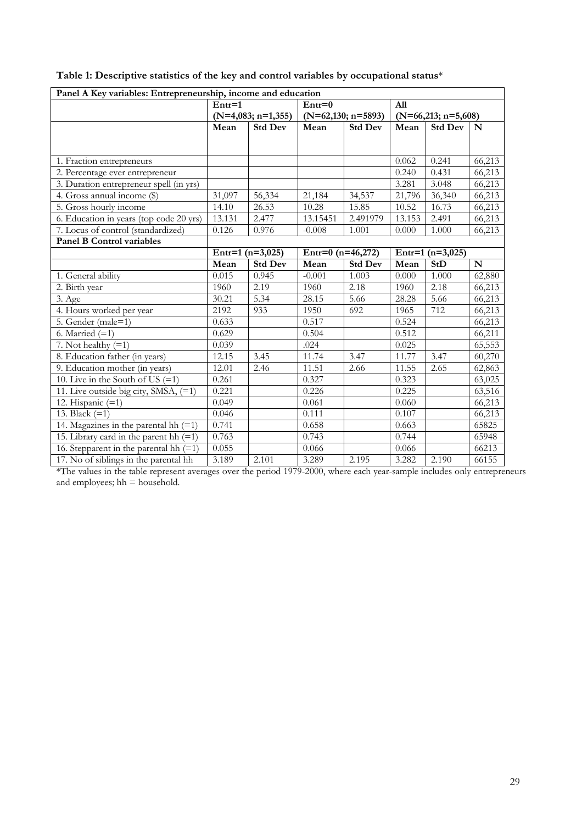| Panel A Key variables: Entrepreneurship, income and education |           |                      |                     |                      |                    |                       |        |
|---------------------------------------------------------------|-----------|----------------------|---------------------|----------------------|--------------------|-----------------------|--------|
|                                                               | $E$ ntr=1 |                      | $E$ ntr=0           |                      | A11                |                       |        |
|                                                               |           | $(N=4,083; n=1,355)$ |                     | $(N=62,130; n=5893)$ |                    | $(N=66,213; n=5,608)$ |        |
|                                                               | Mean      | <b>Std Dev</b>       | Mean                | <b>Std Dev</b>       | Mean               | <b>Std Dev</b>        | N      |
|                                                               |           |                      |                     |                      |                    |                       |        |
|                                                               |           |                      |                     |                      |                    |                       |        |
| 1. Fraction entrepreneurs                                     |           |                      |                     |                      | 0.062              | 0.241                 | 66,213 |
| 2. Percentage ever entrepreneur                               |           |                      |                     |                      | 0.240              | 0.431                 | 66,213 |
| 3. Duration entrepreneur spell (in yrs)                       |           |                      |                     |                      | 3.281              | 3.048                 | 66,213 |
| 4. Gross annual income (\$)                                   | 31,097    | 56,334               | 21,184              | 34,537               | 21,796             | 36,340                | 66,213 |
| 5. Gross hourly income                                        | 14.10     | $\overline{26.53}$   | 10.28               | 15.85                | 10.52              | 16.73                 | 66,213 |
| 6. Education in years (top code 20 yrs)                       | 13.131    | 2.477                | 13.15451            | 2.491979             | 13.153             | 2.491                 | 66,213 |
| 7. Locus of control (standardized)                            | 0.126     | 0.976                | $-0.008$            | 1.001                | 0.000              | 1.000                 | 66,213 |
| <b>Panel B Control variables</b>                              |           |                      |                     |                      |                    |                       |        |
|                                                               |           | Entr=1 $(n=3,025)$   | Entr=0 $(n=46,272)$ |                      | Entr=1 $(n=3,025)$ |                       |        |
|                                                               | Mean      | <b>Std Dev</b>       | Mean                | <b>Std Dev</b>       | Mean               | StD                   | N      |
| 1. General ability                                            | 0.015     | 0.945                | $-0.001$            | 1.003                | 0.000              | 1.000                 | 62,880 |
| 2. Birth year                                                 | 1960      | 2.19                 | 1960                | 2.18                 | 1960               | 2.18                  | 66,213 |
| $3. \text{Age}$                                               | 30.21     | 5.34                 | 28.15               | 5.66                 | 28.28              | 5.66                  | 66,213 |
| 4. Hours worked per year                                      | 2192      | 933                  | 1950                | 692                  | 1965               | 712                   | 66,213 |
| 5. Gender (male=1)                                            | 0.633     |                      | 0.517               |                      | 0.524              |                       | 66,213 |
| 6. Married $(=1)$                                             | 0.629     |                      | 0.504               |                      | 0.512              |                       | 66,211 |
| 7. Not healthy $(=1)$                                         | 0.039     |                      | .024                |                      | 0.025              |                       | 65,553 |
| 8. Education father (in years)                                | 12.15     | 3.45                 | 11.74               | 3.47                 | 11.77              | 3.47                  | 60,270 |
| 9. Education mother (in years)                                | 12.01     | 2.46                 | 11.51               | 2.66                 | 11.55              | 2.65                  | 62,863 |
| 10. Live in the South of US $(=1)$                            | 0.261     |                      | 0.327               |                      | 0.323              |                       | 63,025 |
| 11. Live outside big city, SMSA, (=1)                         | 0.221     |                      | 0.226               |                      | 0.225              |                       | 63,516 |
| 12. Hispanic $(=1)$                                           | 0.049     |                      | 0.061               |                      | 0.060              |                       | 66,213 |
| 13. Black $(=1)$                                              | 0.046     |                      | 0.111               |                      | 0.107              |                       | 66,213 |
| 14. Magazines in the parental hh $(=1)$                       | 0.741     |                      | 0.658               |                      | 0.663              |                       | 65825  |
| 15. Library card in the parent hh $(=1)$                      | 0.763     |                      | 0.743               |                      | 0.744              |                       | 65948  |
| 16. Stepparent in the parental hh $(=1)$                      | 0.055     |                      | 0.066               |                      | 0.066              |                       | 66213  |
| 17. No of siblings in the parental hh                         | 3.189     | 2.101                | 3.289               | 2.195                | 3.282              | 2.190                 | 66155  |

|  |  |  |  | Table 1: Descriptive statistics of the key and control variables by occupational status $*$ |
|--|--|--|--|---------------------------------------------------------------------------------------------|
|--|--|--|--|---------------------------------------------------------------------------------------------|

\*The values in the table represent averages over the period 1979-2000, where each year-sample includes only entrepreneurs and employees; hh = household.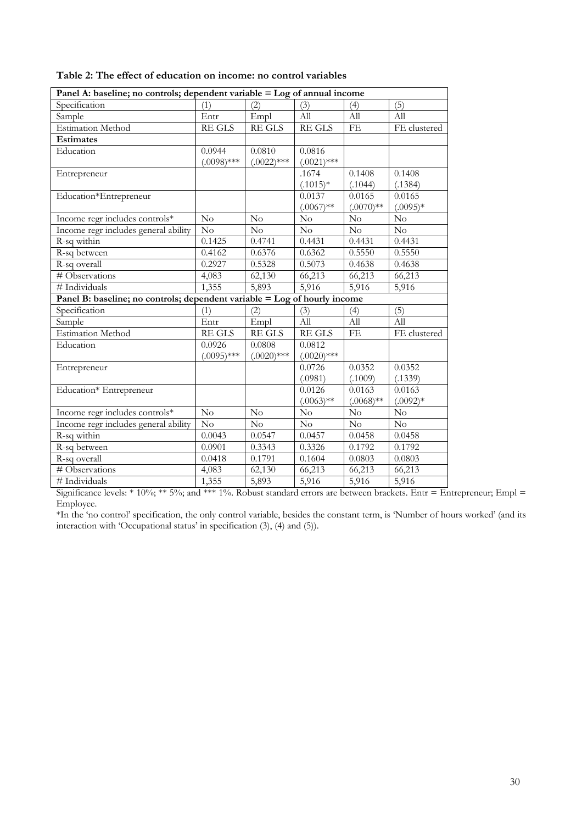| Panel A: baseline; no controls; dependent variable = Log of annual income          |                 |               |               |                  |                        |  |  |
|------------------------------------------------------------------------------------|-----------------|---------------|---------------|------------------|------------------------|--|--|
| Specification                                                                      | (1)             | (2)           | (3)           | (4)              | (5)                    |  |  |
| Sample                                                                             | Entr            | Empl          | All           | All              | All                    |  |  |
| <b>Estimation Method</b>                                                           | RE GLS          | RE GLS        | RE GLS        | FE               | FE clustered           |  |  |
| <b>Estimates</b>                                                                   |                 |               |               |                  |                        |  |  |
| Education                                                                          | 0.0944          | 0.0810        | 0.0816        |                  |                        |  |  |
|                                                                                    | $(.0098)$ ***   | $(.0022)$ *** | $(.0021)$ *** |                  |                        |  |  |
| Entrepreneur                                                                       |                 |               | .1674         | 0.1408           | 0.1408                 |  |  |
|                                                                                    |                 |               | $(.1015)*$    | (.1044)          | (.1384)                |  |  |
| Education*Entrepreneur                                                             |                 |               | 0.0137        | 0.0165           | 0.0165                 |  |  |
|                                                                                    |                 |               | $(.0067)$ **  | $(.0070)**$      | $(.0095)*$             |  |  |
| Income regr includes controls*                                                     | $\rm No$        | No            | No            | No               | $\rm No$               |  |  |
| Income regr includes general ability                                               | No              | No            | No            | No               | No                     |  |  |
| R-sq within                                                                        | 0.1425          | 0.4741        | 0.4431        | 0.4431           | 0.4431                 |  |  |
| R-sq between                                                                       | 0.4162          | 0.6376        | 0.6362        | 0.5550           | 0.5550                 |  |  |
| R-sq overall                                                                       | 0.2927          | 0.5328        | 0.5073        | 0.4638           | 0.4638                 |  |  |
| # Observations                                                                     | 4,083           | 62,130        | 66,213        | 66,213           | 66,213                 |  |  |
| # Individuals                                                                      | 1,355           | 5,893         | 5,916         | 5,916            | 5,916                  |  |  |
| Panel B: baseline; no controls; dependent variable = $\text{Log of hourly income}$ |                 |               |               |                  |                        |  |  |
| Specification                                                                      | (1)             | (2)           | (3)           | (4)              | (5)                    |  |  |
| Sample                                                                             | Entr            | Empl          | All           | $\overline{All}$ | A11                    |  |  |
| <b>Estimation Method</b>                                                           | <b>REGLS</b>    | <b>REGLS</b>  | <b>REGLS</b>  | FE               | FE clustered           |  |  |
| Education                                                                          | 0.0926          | 0.0808        | 0.0812        |                  |                        |  |  |
|                                                                                    | $(.0095)$ ***   | $(.0020)$ *** | $(.0020)$ *** |                  |                        |  |  |
| Entrepreneur                                                                       |                 |               | 0.0726        | 0.0352           | 0.0352                 |  |  |
|                                                                                    |                 |               | (.0981)       | (.1009)          | (.1339)                |  |  |
| Education* Entrepreneur                                                            |                 |               | 0.0126        | 0.0163           | 0.0163                 |  |  |
|                                                                                    |                 |               | $(.0063)$ **  | $(.0068)$ **     | $(.0092)*$             |  |  |
| Income regr includes controls*                                                     | $\overline{No}$ | No            | No            | No               | $\overline{\text{No}}$ |  |  |
| Income regr includes general ability                                               | No              | No            | No            | No               | No                     |  |  |
| R-sq within                                                                        | 0.0043          | 0.0547        | 0.0457        | 0.0458           | 0.0458                 |  |  |
| R-sq between                                                                       | 0.0901          | 0.3343        | 0.3326        | 0.1792           | 0.1792                 |  |  |
| R-sq overall                                                                       | 0.0418          | 0.1791        | 0.1604        | 0.0803           | 0.0803                 |  |  |
| # Observations                                                                     | 4,083           | 62,130        | 66,213        | 66,213           | 66,213                 |  |  |
| # Individuals                                                                      | 1,355           | 5,893         | 5,916         | 5,916            | 5,916                  |  |  |

**Table 2: The effect of education on income: no control variables** 

Significance levels: \* 10%; \*\* 5%; and \*\*\* 1%. Robust standard errors are between brackets. Entr = Entrepreneur; Empl = Employee.

\*In the 'no control' specification, the only control variable, besides the constant term, is 'Number of hours worked' (and its interaction with 'Occupational status' in specification (3), (4) and (5)).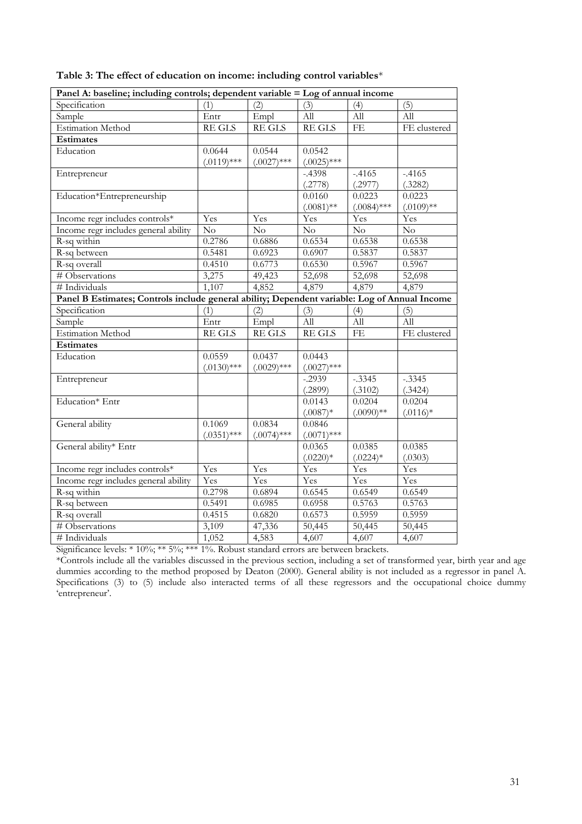| Panel A: baseline; including controls; dependent variable = Log of annual income              |               |                  |                  |                  |                  |  |  |
|-----------------------------------------------------------------------------------------------|---------------|------------------|------------------|------------------|------------------|--|--|
| Specification                                                                                 | (1)           | $\overline{(2)}$ | (3)              | (4)              | $\overline{(5)}$ |  |  |
| Sample                                                                                        | Entr          | Empl             | All              | All              | All              |  |  |
| <b>Estimation Method</b>                                                                      | <b>RE GLS</b> | <b>RE GLS</b>    | RE GLS           | $FE$             | FE clustered     |  |  |
| <b>Estimates</b>                                                                              |               |                  |                  |                  |                  |  |  |
| Education                                                                                     | 0.0644        | 0.0544           | 0.0542           |                  |                  |  |  |
|                                                                                               | $(.0119)$ *** | $(.0027)$ ***    | $(.0025)$ ***    |                  |                  |  |  |
| Entrepreneur                                                                                  |               |                  | $-.4398$         | $-.4165$         | $-.4165$         |  |  |
|                                                                                               |               |                  | (.2778)          | (.2977)          | (.3282)          |  |  |
| Education*Entrepreneurship                                                                    |               |                  | 0.0160           | 0.0223           | 0.0223           |  |  |
|                                                                                               |               |                  | $(.0081)$ **     | $(.0084)$ ***    | $(.0109)$ **     |  |  |
| Income regr includes controls*                                                                | Yes           | Yes              | Yes              | Yes              | Yes              |  |  |
| Income regr includes general ability                                                          | $\rm No$      | $\rm No$         | $\rm No$         | $\rm No$         | $\rm No$         |  |  |
| R-sq within                                                                                   | 0.2786        | 0.6886           | 0.6534           | 0.6538           | 0.6538           |  |  |
| R-sq between                                                                                  | 0.5481        | 0.6923           | 0.6907           | 0.5837           | 0.5837           |  |  |
| R-sq overall                                                                                  | 0.4510        | 0.6773           | 0.6530           | 0.5967           | 0.5967           |  |  |
| # Observations                                                                                | 3,275         | 49,423           | 52,698           | 52,698           | 52,698           |  |  |
| # Individuals                                                                                 | 1,107         | 4,852            | 4,879            | 4,879            | 4,879            |  |  |
| Panel B Estimates; Controls include general ability; Dependent variable: Log of Annual Income |               |                  |                  |                  |                  |  |  |
| Specification                                                                                 | (1)           | (2)              | (3)              | (4)              | (5)              |  |  |
| Sample                                                                                        | Entr          | Empl             | $\overline{All}$ | $\overline{All}$ | $\overline{All}$ |  |  |
| <b>Estimation Method</b>                                                                      | <b>REGLS</b>  | <b>RE GLS</b>    | <b>REGLS</b>     | FE               | FE clustered     |  |  |
| <b>Estimates</b>                                                                              |               |                  |                  |                  |                  |  |  |
| Education                                                                                     | 0.0559        | 0.0437           | 0.0443           |                  |                  |  |  |
|                                                                                               | $(.0130)$ *** | $(.0029)$ ***    | $(.0027)$ ***    |                  |                  |  |  |
| Entrepreneur                                                                                  |               |                  | $-0.2939$        | $-0.3345$        | $-.3345$         |  |  |
|                                                                                               |               |                  | (.2899)          | (.3102)          | (.3424)          |  |  |
| Education* Entr                                                                               |               |                  | 0.0143           | 0.0204           | 0.0204           |  |  |
|                                                                                               |               |                  | $(.0087)*$       | $(.0090)$ **     | $(.0116)*$       |  |  |
| General ability                                                                               | 0.1069        | 0.0834           | 0.0846           |                  |                  |  |  |
|                                                                                               | $(.0351)$ *** | $(.0074)$ ***    | $(.0071)$ ***    |                  |                  |  |  |
| General ability* Entr                                                                         |               |                  | 0.0365           | 0.0385           | 0.0385           |  |  |
|                                                                                               |               |                  | $(.0220)*$       | $(.0224)*$       | (.0303)          |  |  |
| Income regr includes controls*                                                                | Yes           | Yes              | Yes              | Yes              | Yes              |  |  |
| Income regr includes general ability                                                          | Yes           | Yes              | Yes              | Yes              | Yes              |  |  |
| R-sq within                                                                                   | 0.2798        | 0.6894           | 0.6545           | 0.6549           | 0.6549           |  |  |
| R-sq between                                                                                  | 0.5491        | 0.6985           | 0.6958           | 0.5763           | 0.5763           |  |  |
| R-sq overall                                                                                  | 0.4515        | 0.6820           | 0.6573           | 0.5959           | 0.5959           |  |  |
| # Observations                                                                                | 3,109         | 47,336           | 50,445           | 50,445           | 50,445           |  |  |
| # Individuals                                                                                 | 1,052         | 4,583            | 4,607            | 4,607            | 4,607            |  |  |

| Table 3: The effect of education on income: including control variables* |  |  |  |  |  |
|--------------------------------------------------------------------------|--|--|--|--|--|
|--------------------------------------------------------------------------|--|--|--|--|--|

Significance levels: \* 10%; \*\* 5%; \*\*\* 1%. Robust standard errors are between brackets.

\*Controls include all the variables discussed in the previous section, including a set of transformed year, birth year and age dummies according to the method proposed by Deaton (2000). General ability is not included as a regressor in panel A. Specifications (3) to (5) include also interacted terms of all these regressors and the occupational choice dummy 'entrepreneur'.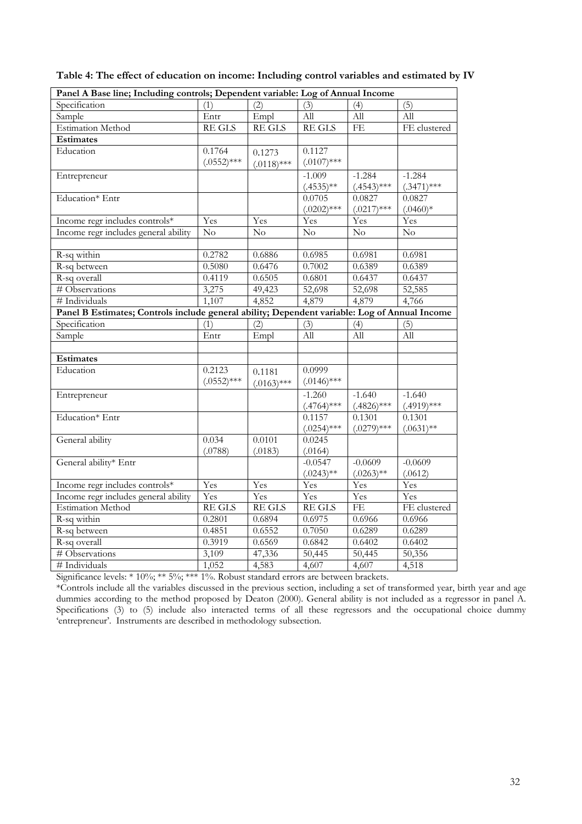| Panel A Base line; Including controls; Dependent variable: Log of Annual Income               |               |               |               |               |               |  |  |
|-----------------------------------------------------------------------------------------------|---------------|---------------|---------------|---------------|---------------|--|--|
| Specification                                                                                 | (1)           | (2)           | (3)           | (4)           | (5)           |  |  |
| Sample                                                                                        | Entr          | Empl          | All           | All           | All           |  |  |
| <b>Estimation Method</b>                                                                      | <b>RE GLS</b> | RE GLS        | <b>RE GLS</b> | FE            | FE clustered  |  |  |
| <b>Estimates</b>                                                                              |               |               |               |               |               |  |  |
| Education                                                                                     | 0.1764        | 0.1273        | 0.1127        |               |               |  |  |
|                                                                                               | $(.0552)***$  | $(.0118)$ *** | $(.0107)$ *** |               |               |  |  |
| Entrepreneur                                                                                  |               |               | $-1.009$      | $-1.284$      | $-1.284$      |  |  |
|                                                                                               |               |               | $(.4535)$ **  | $(.4543)$ *** | $(.3471)$ *** |  |  |
| Education* Entr                                                                               |               |               | 0.0705        | 0.0827        | 0.0827        |  |  |
|                                                                                               |               |               | $(.0202)***$  | $(.0217)$ *** | $(.0460)*$    |  |  |
| Income regr includes controls*                                                                | Yes           | Yes           | Yes           | Yes           | Yes           |  |  |
| Income regr includes general ability                                                          | No            | $\rm No$      | No            | $\rm No$      | No            |  |  |
|                                                                                               |               |               |               |               |               |  |  |
| R-sq within                                                                                   | 0.2782        | 0.6886        | 0.6985        | 0.6981        | 0.6981        |  |  |
| R-sq between                                                                                  | 0.5080        | 0.6476        | 0.7002        | 0.6389        | 0.6389        |  |  |
| R-sq overall                                                                                  | 0.4119        | 0.6505        | 0.6801        | 0.6437        | 0.6437        |  |  |
| # Observations                                                                                | 3,275         | 49,423        | 52,698        | 52,698        | 52,585        |  |  |
| # Individuals                                                                                 | 1,107         | 4,852         | 4,879         | 4,879         | 4,766         |  |  |
| Panel B Estimates; Controls include general ability; Dependent variable: Log of Annual Income |               |               |               |               |               |  |  |
| Specification                                                                                 | (1)           | (2)           | (3)           | (4)           | (5)           |  |  |
| Sample                                                                                        | Entr          | $E_{mpl}$     | All           | All           | All           |  |  |
|                                                                                               |               |               |               |               |               |  |  |
| <b>Estimates</b>                                                                              |               |               |               |               |               |  |  |
| Education                                                                                     | 0.2123        | 0.1181        | 0.0999        |               |               |  |  |
|                                                                                               | $(.0552)$ *** | $(.0163)$ *** | $(.0146)$ *** |               |               |  |  |
| Entrepreneur                                                                                  |               |               | $-1.260$      | $-1.640$      | $-1.640$      |  |  |
|                                                                                               |               |               | $(.4764)***$  | $(.4826)$ *** | $(.4919)$ *** |  |  |
| Education* Entr                                                                               |               |               | 0.1157        | 0.1301        | 0.1301        |  |  |
|                                                                                               |               |               | $(.0254)$ *** | $(.0279)$ *** | $(.0631)$ **  |  |  |
| General ability                                                                               | 0.034         | 0.0101        | 0.0245        |               |               |  |  |
|                                                                                               | (.0788)       | (.0183)       | (.0164)       |               |               |  |  |
| General ability* Entr                                                                         |               |               | $-0.0547$     | $-0.0609$     | $-0.0609$     |  |  |
|                                                                                               |               |               | $(.0243)$ **  | $(.0263)$ **  | (.0612)       |  |  |
| Income regr includes controls*                                                                | Yes           | Yes           | Yes           | Yes           | Yes           |  |  |
| Income regr includes general ability                                                          | Yes           | Yes           | Yes           | Yes           | Yes           |  |  |
| <b>Estimation Method</b>                                                                      | <b>REGLS</b>  | <b>REGLS</b>  | <b>REGLS</b>  | FE            | FE clustered  |  |  |
| R-sq within                                                                                   | 0.2801        | 0.6894        | 0.6975        | 0.6966        | 0.6966        |  |  |
| R-sq between                                                                                  | 0.4851        | 0.6552        | 0.7050        | 0.6289        | 0.6289        |  |  |
| R-sq overall                                                                                  | 0.3919        | 0.6569        | 0.6842        | 0.6402        | 0.6402        |  |  |
| # Observations                                                                                | 3,109         | 47,336        | 50,445        | 50,445        | 50,356        |  |  |
| # Individuals                                                                                 | 1,052         | 4,583         | 4,607         | 4,607         | 4,518         |  |  |

| Table 4: The effect of education on income: Including control variables and estimated by IV |
|---------------------------------------------------------------------------------------------|
|---------------------------------------------------------------------------------------------|

Significance levels: \* 10%; \*\* 5%; \*\*\* 1%. Robust standard errors are between brackets.

\*Controls include all the variables discussed in the previous section, including a set of transformed year, birth year and age dummies according to the method proposed by Deaton (2000). General ability is not included as a regressor in panel A. Specifications (3) to (5) include also interacted terms of all these regressors and the occupational choice dummy 'entrepreneur'. Instruments are described in methodology subsection.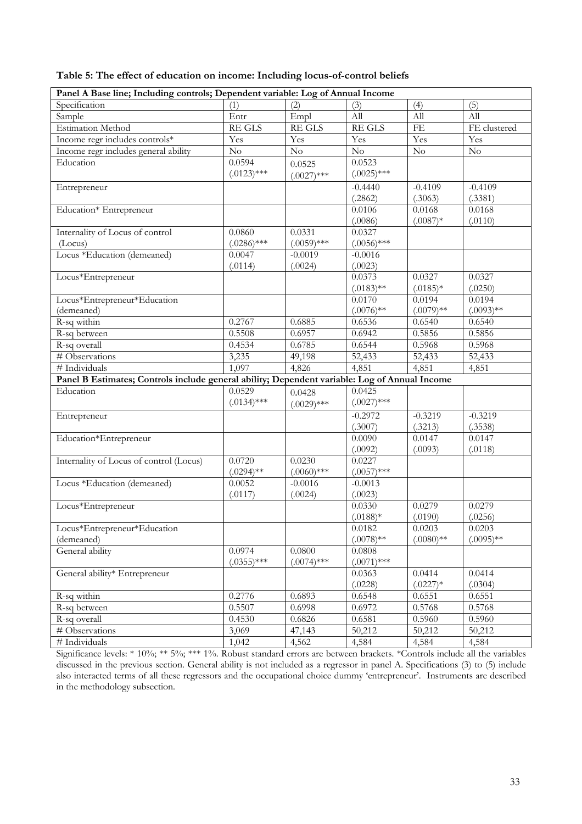|  |  | Table 5: The effect of education on income: Including locus-of-control beliefs |
|--|--|--------------------------------------------------------------------------------|
|  |  |                                                                                |

| Panel A Base line; Including controls; Dependent variable: Log of Annual Income               |               |               |               |                  |              |  |  |
|-----------------------------------------------------------------------------------------------|---------------|---------------|---------------|------------------|--------------|--|--|
| Specification                                                                                 | (1)           | (2)           | (3)           | (4)              | (5)          |  |  |
| Sample                                                                                        | Entr          | Empl          | All           | $\overline{All}$ | All          |  |  |
| <b>Estimation Method</b>                                                                      | RE GLS        | <b>RE GLS</b> | RE GLS        | FE               | FE clustered |  |  |
| Income regr includes controls*                                                                | Yes           | Yes           | Yes           | Yes              | Yes          |  |  |
| Income regr includes general ability                                                          | No            | No            | No            | $\overline{No}$  | No           |  |  |
| Education                                                                                     | 0.0594        | 0.0525        | 0.0523        |                  |              |  |  |
|                                                                                               | $(.0123)$ *** | $(.0027)$ *** | $(.0025)$ *** |                  |              |  |  |
| Entrepreneur                                                                                  |               |               | $-0.4440$     | $-0.4109$        | $-0.4109$    |  |  |
|                                                                                               |               |               | (.2862)       | (.3063)          | (.3381)      |  |  |
| Education* Entrepreneur                                                                       |               |               | 0.0106        | 0.0168           | 0.0168       |  |  |
|                                                                                               |               |               | (.0086)       | $(.0087)*$       | (.0110)      |  |  |
| Internality of Locus of control                                                               | 0.0860        | 0.0331        | 0.0327        |                  |              |  |  |
| (Locus)                                                                                       | $(.0286)$ *** | $(.0059)$ *** | $(.0056)$ *** |                  |              |  |  |
| Locus *Education (demeaned)                                                                   | 0.0047        | $-0.0019$     | $-0.0016$     |                  |              |  |  |
|                                                                                               | (.0114)       | (.0024)       | (.0023)       |                  |              |  |  |
| Locus*Entrepreneur                                                                            |               |               | 0.0373        | 0.0327           | 0.0327       |  |  |
|                                                                                               |               |               | $(.0183)$ **  | $(.0185)*$       | (.0250)      |  |  |
| Locus*Entrepreneur*Education                                                                  |               |               | 0.0170        | 0.0194           | 0.0194       |  |  |
| (demeaned)                                                                                    |               |               | $(.0076)$ **  | $(.0079)$ **     | $(.0093)$ ** |  |  |
| R-sq within                                                                                   | 0.2767        | 0.6885        | 0.6536        | 0.6540           | 0.6540       |  |  |
| R-sq between                                                                                  | 0.5508        | 0.6957        | 0.6942        | 0.5856           | 0.5856       |  |  |
| R-sq overall                                                                                  | 0.4534        | 0.6785        | 0.6544        | 0.5968           | 0.5968       |  |  |
| # Observations                                                                                | 3,235         | 49,198        | 52,433        | 52,433           | 52,433       |  |  |
| # Individuals                                                                                 | 1,097         | 4,826         | 4,851         | 4,851            | 4,851        |  |  |
| Panel B Estimates; Controls include general ability; Dependent variable: Log of Annual Income |               |               |               |                  |              |  |  |
| Education                                                                                     | 0.0529        | 0.0428        | 0.0425        |                  |              |  |  |
|                                                                                               | $(.0134)$ *** | $(.0029)$ *** | $(.0027)$ *** |                  |              |  |  |
| Entrepreneur                                                                                  |               |               | $-0.2972$     | $-0.3219$        | $-0.3219$    |  |  |
|                                                                                               |               |               | (.3007)       | (.3213)          | (.3538)      |  |  |
| Education*Entrepreneur                                                                        |               |               | 0.0090        | 0.0147           | 0.0147       |  |  |
|                                                                                               |               |               | (.0092)       | (.0093)          | (.0118)      |  |  |
| Internality of Locus of control (Locus)                                                       | 0.0720        | 0.0230        | 0.0227        |                  |              |  |  |
|                                                                                               | $(.0294)$ **  | $(.0060)$ *** | $(.0057)$ *** |                  |              |  |  |
| Locus *Education (demeaned)                                                                   | 0.0052        | $-0.0016$     | $-0.0013$     |                  |              |  |  |
|                                                                                               | (.0117)       | (.0024)       | (.0023)       |                  |              |  |  |
| Locus*Entrepreneur                                                                            |               |               | 0.0330        | 0.0279           | 0.0279       |  |  |
|                                                                                               |               |               | $(.0188)*$    | (.0190)          | (.0256)      |  |  |
| Locus*Entrepreneur*Education                                                                  |               |               | 0.0182        | 0.0203           | 0.0203       |  |  |
| (demeaned)                                                                                    |               |               | $(.0078)$ **  | $(.0080)$ **     | $(.0095)$ ** |  |  |
| General ability                                                                               | 0.0974        | 0.0800        | 0.0808        |                  |              |  |  |
|                                                                                               | $(.0355)$ *** | $(.0074)$ *** | $(.0071)$ *** |                  |              |  |  |
| General ability* Entrepreneur                                                                 |               |               | 0.0363        | 0.0414           | 0.0414       |  |  |
|                                                                                               |               |               | (.0228)       | $(.0227)*$       | (.0304)      |  |  |
| R-sq within                                                                                   | 0.2776        | 0.6893        | 0.6548        | 0.6551           | 0.6551       |  |  |
| R-sq between                                                                                  | 0.5507        | 0.6998        | 0.6972        | 0.5768           | 0.5768       |  |  |
| R-sq overall                                                                                  | 0.4530        | 0.6826        | 0.6581        | 0.5960           | 0.5960       |  |  |
| # Observations                                                                                | 3,069         | 47,143        | 50,212        | 50,212           | 50,212       |  |  |
| # Individuals                                                                                 | 1,042         | 4,562         | 4,584         | 4,584            | 4,584        |  |  |

Significance levels: \* 10%; \*\* 5%; \*\*\* 1%. Robust standard errors are between brackets. \*Controls include all the variables discussed in the previous section. General ability is not included as a regressor in panel A. Specifications (3) to (5) include also interacted terms of all these regressors and the occupational choice dummy 'entrepreneur'. Instruments are described in the methodology subsection.